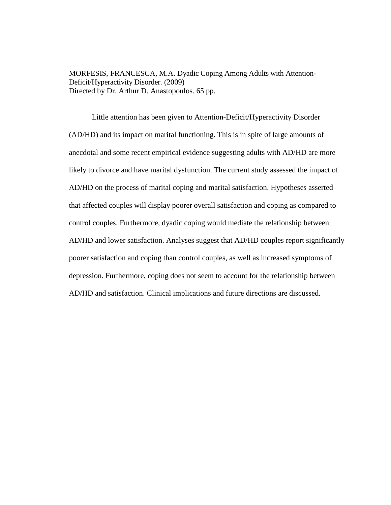MORFESIS, FRANCESCA, M.A. Dyadic Coping Among Adults with Attention-Deficit/Hyperactivity Disorder. (2009) Directed by Dr. Arthur D. Anastopoulos. 65 pp.

Little attention has been given to Attention-Deficit/Hyperactivity Disorder (AD/HD) and its impact on marital functioning. This is in spite of large amounts of anecdotal and some recent empirical evidence suggesting adults with AD/HD are more likely to divorce and have marital dysfunction. The current study assessed the impact of AD/HD on the process of marital coping and marital satisfaction. Hypotheses asserted that affected couples will display poorer overall satisfaction and coping as compared to control couples. Furthermore, dyadic coping would mediate the relationship between AD/HD and lower satisfaction. Analyses suggest that AD/HD couples report significantly poorer satisfaction and coping than control couples, as well as increased symptoms of depression. Furthermore, coping does not seem to account for the relationship between AD/HD and satisfaction. Clinical implications and future directions are discussed.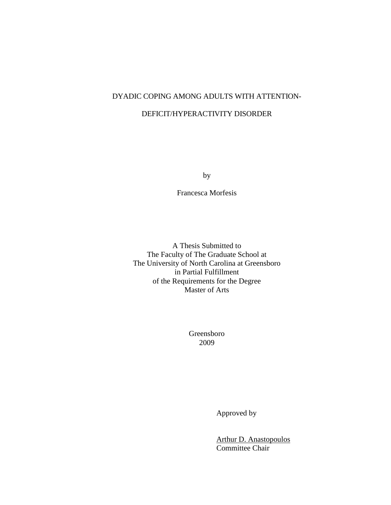## DYADIC COPING AMONG ADULTS WITH ATTENTION-

## DEFICIT/HYPERACTIVITY DISORDER

by

Francesca Morfesis

A Thesis Submitted to The Faculty of The Graduate School at The University of North Carolina at Greensboro in Partial Fulfillment of the Requirements for the Degree Master of Arts

> Greensboro 2009

> > Approved by

 Arthur D. Anastopoulos Committee Chair<sup>1</sup>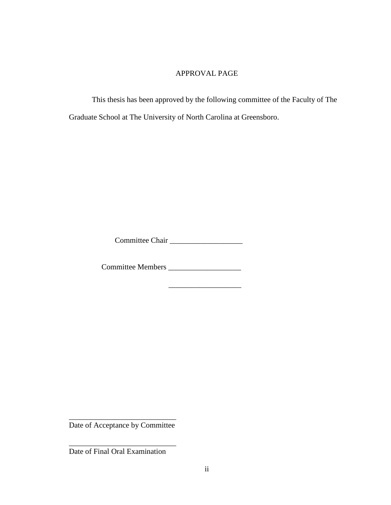## APPROVAL PAGE

 This thesis has been approved by the following committee of the Faculty of The Graduate School at The University of North Carolina at Greensboro.

Committee Chair \_\_\_\_\_\_\_\_\_\_\_\_\_\_\_\_\_\_\_

 $\_$ 

Committee Members \_\_\_\_\_\_\_\_\_\_\_\_\_\_\_\_\_\_\_

\_\_\_\_\_\_\_\_\_\_\_\_\_\_\_\_\_\_\_\_\_\_\_\_\_\_\_\_ Date of Acceptance by Committee

\_\_\_\_\_\_\_\_\_\_\_\_\_\_\_\_\_\_\_\_\_\_\_\_\_\_\_\_

Date of Final Oral Examination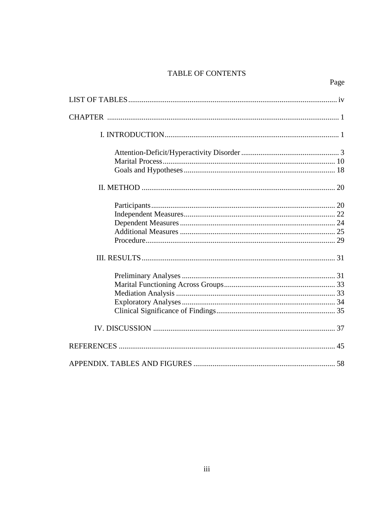## **TABLE OF CONTENTS**

| ×<br>۰, |
|---------|
|---------|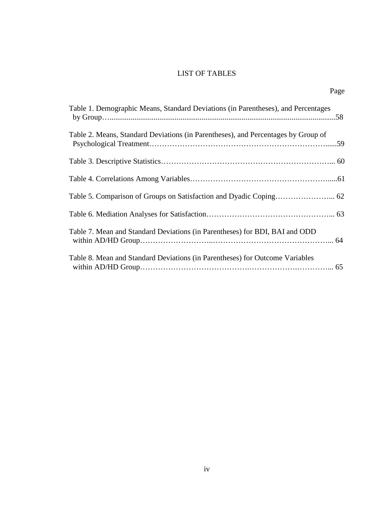## LIST OF TABLES

| Table 1. Demographic Means, Standard Deviations (in Parentheses), and Percentages |  |
|-----------------------------------------------------------------------------------|--|
| Table 2. Means, Standard Deviations (in Parentheses), and Percentages by Group of |  |
|                                                                                   |  |
|                                                                                   |  |
|                                                                                   |  |
|                                                                                   |  |
| Table 7. Mean and Standard Deviations (in Parentheses) for BDI, BAI and ODD       |  |
| Table 8. Mean and Standard Deviations (in Parentheses) for Outcome Variables      |  |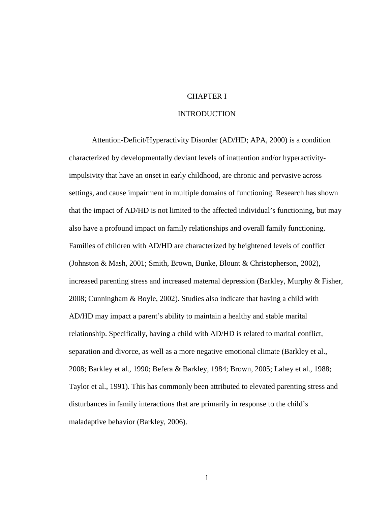## CHAPTER I

#### INTRODUCTION

Attention-Deficit/Hyperactivity Disorder (AD/HD; APA, 2000) is a condition characterized by developmentally deviant levels of inattention and/or hyperactivityimpulsivity that have an onset in early childhood, are chronic and pervasive across settings, and cause impairment in multiple domains of functioning. Research has shown that the impact of AD/HD is not limited to the affected individual's functioning, but may also have a profound impact on family relationships and overall family functioning. Families of children with AD/HD are characterized by heightened levels of conflict (Johnston & Mash, 2001; Smith, Brown, Bunke, Blount & Christopherson, 2002), increased parenting stress and increased maternal depression (Barkley, Murphy & Fisher, 2008; Cunningham & Boyle, 2002). Studies also indicate that having a child with AD/HD may impact a parent's ability to maintain a healthy and stable marital relationship. Specifically, having a child with AD/HD is related to marital conflict, separation and divorce, as well as a more negative emotional climate (Barkley et al., 2008; Barkley et al., 1990; Befera & Barkley, 1984; Brown, 2005; Lahey et al., 1988; Taylor et al., 1991). This has commonly been attributed to elevated parenting stress and disturbances in family interactions that are primarily in response to the child's maladaptive behavior (Barkley, 2006).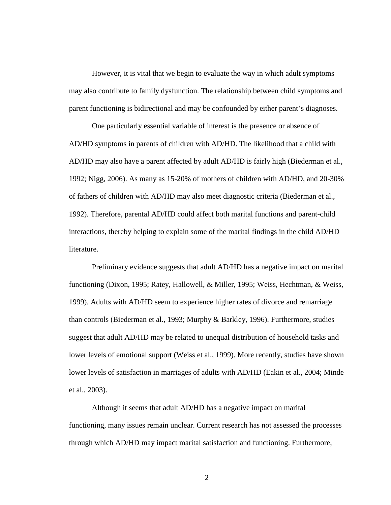However, it is vital that we begin to evaluate the way in which adult symptoms may also contribute to family dysfunction. The relationship between child symptoms and parent functioning is bidirectional and may be confounded by either parent's diagnoses.

One particularly essential variable of interest is the presence or absence of AD/HD symptoms in parents of children with AD/HD. The likelihood that a child with AD/HD may also have a parent affected by adult AD/HD is fairly high (Biederman et al., 1992; Nigg, 2006). As many as 15-20% of mothers of children with AD/HD, and 20-30% of fathers of children with AD/HD may also meet diagnostic criteria (Biederman et al., 1992). Therefore, parental AD/HD could affect both marital functions and parent-child interactions, thereby helping to explain some of the marital findings in the child AD/HD literature.

Preliminary evidence suggests that adult AD/HD has a negative impact on marital functioning (Dixon, 1995; Ratey, Hallowell, & Miller, 1995; Weiss, Hechtman, & Weiss, 1999). Adults with AD/HD seem to experience higher rates of divorce and remarriage than controls (Biederman et al., 1993; Murphy & Barkley, 1996). Furthermore, studies suggest that adult AD/HD may be related to unequal distribution of household tasks and lower levels of emotional support (Weiss et al., 1999). More recently, studies have shown lower levels of satisfaction in marriages of adults with AD/HD (Eakin et al., 2004; Minde et al., 2003).

Although it seems that adult AD/HD has a negative impact on marital functioning, many issues remain unclear. Current research has not assessed the processes through which AD/HD may impact marital satisfaction and functioning. Furthermore,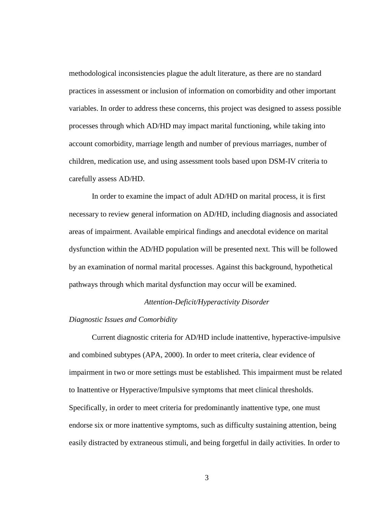methodological inconsistencies plague the adult literature, as there are no standard practices in assessment or inclusion of information on comorbidity and other important variables. In order to address these concerns, this project was designed to assess possible processes through which AD/HD may impact marital functioning, while taking into account comorbidity, marriage length and number of previous marriages, number of children, medication use, and using assessment tools based upon DSM-IV criteria to carefully assess AD/HD.

In order to examine the impact of adult AD/HD on marital process, it is first necessary to review general information on AD/HD, including diagnosis and associated areas of impairment. Available empirical findings and anecdotal evidence on marital dysfunction within the AD/HD population will be presented next. This will be followed by an examination of normal marital processes. Against this background, hypothetical pathways through which marital dysfunction may occur will be examined.

#### *Attention-Deficit/Hyperactivity Disorder*

#### *Diagnostic Issues and Comorbidity*

Current diagnostic criteria for AD/HD include inattentive, hyperactive-impulsive and combined subtypes (APA, 2000). In order to meet criteria, clear evidence of impairment in two or more settings must be established. This impairment must be related to Inattentive or Hyperactive/Impulsive symptoms that meet clinical thresholds. Specifically, in order to meet criteria for predominantly inattentive type, one must endorse six or more inattentive symptoms, such as difficulty sustaining attention, being easily distracted by extraneous stimuli, and being forgetful in daily activities. In order to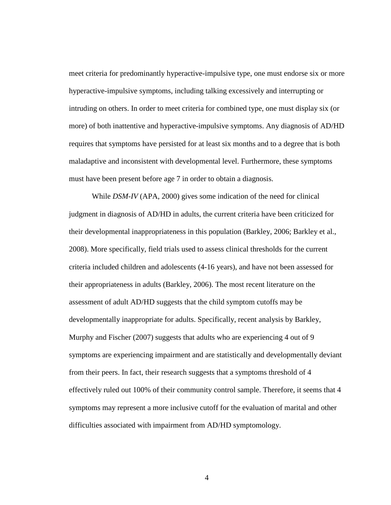meet criteria for predominantly hyperactive-impulsive type, one must endorse six or more hyperactive-impulsive symptoms, including talking excessively and interrupting or intruding on others. In order to meet criteria for combined type, one must display six (or more) of both inattentive and hyperactive-impulsive symptoms. Any diagnosis of AD/HD requires that symptoms have persisted for at least six months and to a degree that is both maladaptive and inconsistent with developmental level. Furthermore, these symptoms must have been present before age 7 in order to obtain a diagnosis.

While *DSM-IV* (APA, 2000) gives some indication of the need for clinical judgment in diagnosis of AD/HD in adults, the current criteria have been criticized for their developmental inappropriateness in this population (Barkley, 2006; Barkley et al., 2008). More specifically, field trials used to assess clinical thresholds for the current criteria included children and adolescents (4-16 years), and have not been assessed for their appropriateness in adults (Barkley, 2006). The most recent literature on the assessment of adult AD/HD suggests that the child symptom cutoffs may be developmentally inappropriate for adults. Specifically, recent analysis by Barkley, Murphy and Fischer (2007) suggests that adults who are experiencing 4 out of 9 symptoms are experiencing impairment and are statistically and developmentally deviant from their peers. In fact, their research suggests that a symptoms threshold of 4 effectively ruled out 100% of their community control sample. Therefore, it seems that 4 symptoms may represent a more inclusive cutoff for the evaluation of marital and other difficulties associated with impairment from AD/HD symptomology.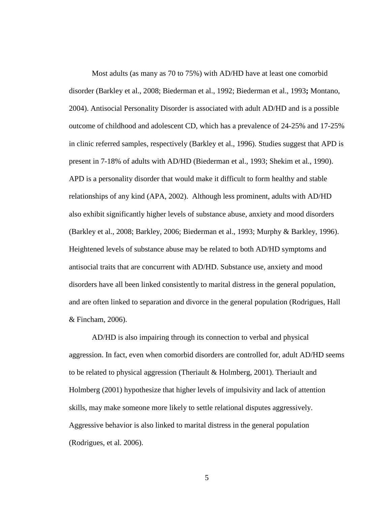Most adults (as many as 70 to 75%) with AD/HD have at least one comorbid disorder (Barkley et al., 2008; Biederman et al., 1992; Biederman et al., 1993**;** Montano, 2004). Antisocial Personality Disorder is associated with adult AD/HD and is a possible outcome of childhood and adolescent CD, which has a prevalence of 24-25% and 17-25% in clinic referred samples, respectively (Barkley et al., 1996). Studies suggest that APD is present in 7-18% of adults with AD/HD (Biederman et al., 1993; Shekim et al., 1990). APD is a personality disorder that would make it difficult to form healthy and stable relationships of any kind (APA, 2002). Although less prominent, adults with AD/HD also exhibit significantly higher levels of substance abuse, anxiety and mood disorders (Barkley et al., 2008; Barkley, 2006; Biederman et al., 1993; Murphy & Barkley, 1996). Heightened levels of substance abuse may be related to both AD/HD symptoms and antisocial traits that are concurrent with AD/HD. Substance use, anxiety and mood disorders have all been linked consistently to marital distress in the general population, and are often linked to separation and divorce in the general population (Rodrigues, Hall & Fincham, 2006).

AD/HD is also impairing through its connection to verbal and physical aggression. In fact, even when comorbid disorders are controlled for, adult AD/HD seems to be related to physical aggression (Theriault & Holmberg, 2001). Theriault and Holmberg (2001) hypothesize that higher levels of impulsivity and lack of attention skills, may make someone more likely to settle relational disputes aggressively. Aggressive behavior is also linked to marital distress in the general population (Rodrigues, et al. 2006).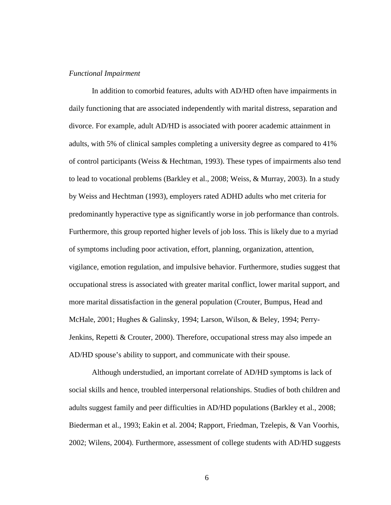#### *Functional Impairment*

In addition to comorbid features, adults with AD/HD often have impairments in daily functioning that are associated independently with marital distress, separation and divorce. For example, adult AD/HD is associated with poorer academic attainment in adults, with 5% of clinical samples completing a university degree as compared to 41% of control participants (Weiss & Hechtman, 1993). These types of impairments also tend to lead to vocational problems (Barkley et al., 2008; Weiss, & Murray, 2003). In a study by Weiss and Hechtman (1993), employers rated ADHD adults who met criteria for predominantly hyperactive type as significantly worse in job performance than controls. Furthermore, this group reported higher levels of job loss. This is likely due to a myriad of symptoms including poor activation, effort, planning, organization, attention, vigilance, emotion regulation, and impulsive behavior. Furthermore, studies suggest that occupational stress is associated with greater marital conflict, lower marital support, and more marital dissatisfaction in the general population (Crouter, Bumpus, Head and McHale, 2001; Hughes & Galinsky, 1994; Larson, Wilson, & Beley, 1994; Perry-Jenkins, Repetti & Crouter, 2000). Therefore, occupational stress may also impede an AD/HD spouse's ability to support, and communicate with their spouse.

Although understudied, an important correlate of AD/HD symptoms is lack of social skills and hence, troubled interpersonal relationships. Studies of both children and adults suggest family and peer difficulties in AD/HD populations (Barkley et al., 2008; Biederman et al., 1993; Eakin et al. 2004; Rapport, Friedman, Tzelepis, & Van Voorhis, 2002; Wilens, 2004). Furthermore, assessment of college students with AD/HD suggests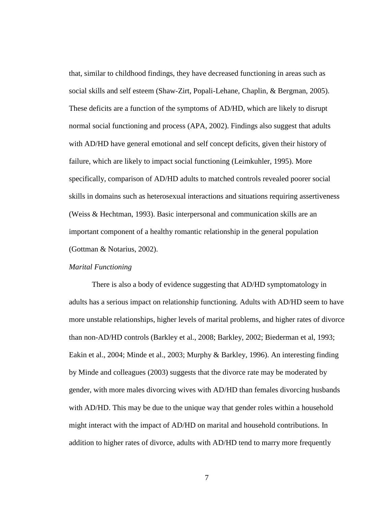that, similar to childhood findings, they have decreased functioning in areas such as social skills and self esteem (Shaw-Zirt, Popali-Lehane, Chaplin, & Bergman, 2005). These deficits are a function of the symptoms of AD/HD, which are likely to disrupt normal social functioning and process (APA, 2002). Findings also suggest that adults with AD/HD have general emotional and self concept deficits, given their history of failure, which are likely to impact social functioning (Leimkuhler, 1995). More specifically, comparison of AD/HD adults to matched controls revealed poorer social skills in domains such as heterosexual interactions and situations requiring assertiveness (Weiss & Hechtman, 1993). Basic interpersonal and communication skills are an important component of a healthy romantic relationship in the general population (Gottman & Notarius, 2002).

#### *Marital Functioning*

There is also a body of evidence suggesting that AD/HD symptomatology in adults has a serious impact on relationship functioning. Adults with AD/HD seem to have more unstable relationships, higher levels of marital problems, and higher rates of divorce than non-AD/HD controls (Barkley et al., 2008; Barkley, 2002; Biederman et al, 1993; Eakin et al., 2004; Minde et al., 2003; Murphy & Barkley, 1996). An interesting finding by Minde and colleagues (2003) suggests that the divorce rate may be moderated by gender, with more males divorcing wives with AD/HD than females divorcing husbands with AD/HD. This may be due to the unique way that gender roles within a household might interact with the impact of AD/HD on marital and household contributions. In addition to higher rates of divorce, adults with AD/HD tend to marry more frequently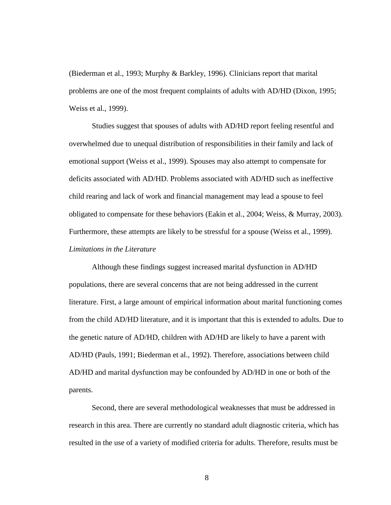(Biederman et al., 1993; Murphy & Barkley, 1996). Clinicians report that marital problems are one of the most frequent complaints of adults with AD/HD (Dixon, 1995; Weiss et al., 1999).

Studies suggest that spouses of adults with AD/HD report feeling resentful and overwhelmed due to unequal distribution of responsibilities in their family and lack of emotional support (Weiss et al., 1999). Spouses may also attempt to compensate for deficits associated with AD/HD*.* Problems associated with AD/HD such as ineffective child rearing and lack of work and financial management may lead a spouse to feel obligated to compensate for these behaviors (Eakin et al., 2004; Weiss, & Murray, 2003). Furthermore, these attempts are likely to be stressful for a spouse (Weiss et al., 1999). *Limitations in the Literature* 

Although these findings suggest increased marital dysfunction in AD/HD populations, there are several concerns that are not being addressed in the current literature. First, a large amount of empirical information about marital functioning comes from the child AD/HD literature, and it is important that this is extended to adults. Due to the genetic nature of AD/HD, children with AD/HD are likely to have a parent with AD/HD (Pauls, 1991; Biederman et al., 1992). Therefore, associations between child AD/HD and marital dysfunction may be confounded by AD/HD in one or both of the parents.

Second, there are several methodological weaknesses that must be addressed in research in this area. There are currently no standard adult diagnostic criteria, which has resulted in the use of a variety of modified criteria for adults. Therefore, results must be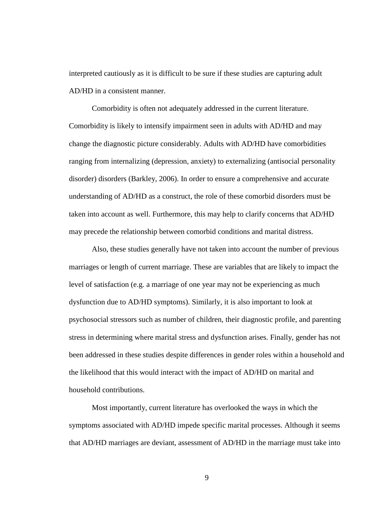interpreted cautiously as it is difficult to be sure if these studies are capturing adult AD/HD in a consistent manner.

Comorbidity is often not adequately addressed in the current literature. Comorbidity is likely to intensify impairment seen in adults with AD/HD and may change the diagnostic picture considerably. Adults with AD/HD have comorbidities ranging from internalizing (depression, anxiety) to externalizing (antisocial personality disorder) disorders (Barkley, 2006). In order to ensure a comprehensive and accurate understanding of AD/HD as a construct, the role of these comorbid disorders must be taken into account as well. Furthermore, this may help to clarify concerns that AD/HD may precede the relationship between comorbid conditions and marital distress.

Also, these studies generally have not taken into account the number of previous marriages or length of current marriage. These are variables that are likely to impact the level of satisfaction (e.g. a marriage of one year may not be experiencing as much dysfunction due to AD/HD symptoms). Similarly, it is also important to look at psychosocial stressors such as number of children, their diagnostic profile, and parenting stress in determining where marital stress and dysfunction arises. Finally, gender has not been addressed in these studies despite differences in gender roles within a household and the likelihood that this would interact with the impact of AD/HD on marital and household contributions.

Most importantly, current literature has overlooked the ways in which the symptoms associated with AD/HD impede specific marital processes. Although it seems that AD/HD marriages are deviant, assessment of AD/HD in the marriage must take into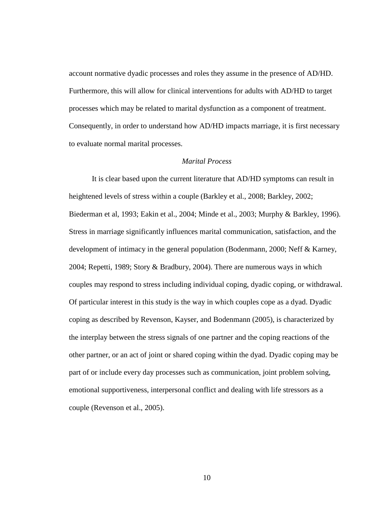account normative dyadic processes and roles they assume in the presence of AD/HD. Furthermore, this will allow for clinical interventions for adults with AD/HD to target processes which may be related to marital dysfunction as a component of treatment. Consequently, in order to understand how AD/HD impacts marriage, it is first necessary to evaluate normal marital processes.

#### *Marital Process*

It is clear based upon the current literature that AD/HD symptoms can result in heightened levels of stress within a couple (Barkley et al., 2008; Barkley, 2002; Biederman et al, 1993; Eakin et al., 2004; Minde et al., 2003; Murphy & Barkley, 1996). Stress in marriage significantly influences marital communication, satisfaction, and the development of intimacy in the general population (Bodenmann, 2000; Neff & Karney, 2004; Repetti, 1989; Story & Bradbury, 2004). There are numerous ways in which couples may respond to stress including individual coping, dyadic coping, or withdrawal. Of particular interest in this study is the way in which couples cope as a dyad. Dyadic coping as described by Revenson, Kayser, and Bodenmann (2005), is characterized by the interplay between the stress signals of one partner and the coping reactions of the other partner, or an act of joint or shared coping within the dyad. Dyadic coping may be part of or include every day processes such as communication, joint problem solving, emotional supportiveness, interpersonal conflict and dealing with life stressors as a couple (Revenson et al., 2005).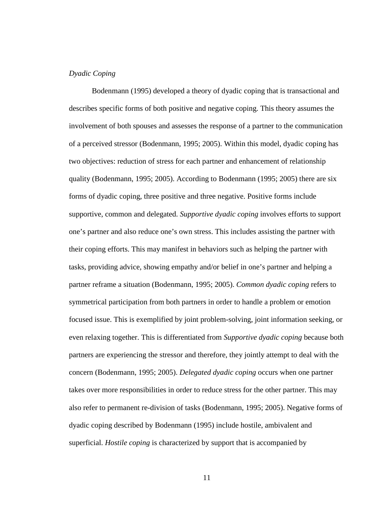#### *Dyadic Coping*

Bodenmann (1995) developed a theory of dyadic coping that is transactional and describes specific forms of both positive and negative coping. This theory assumes the involvement of both spouses and assesses the response of a partner to the communication of a perceived stressor (Bodenmann, 1995; 2005). Within this model, dyadic coping has two objectives: reduction of stress for each partner and enhancement of relationship quality (Bodenmann, 1995; 2005). According to Bodenmann (1995; 2005) there are six forms of dyadic coping, three positive and three negative. Positive forms include supportive, common and delegated. *Supportive dyadic coping* involves efforts to support one's partner and also reduce one's own stress. This includes assisting the partner with their coping efforts. This may manifest in behaviors such as helping the partner with tasks, providing advice, showing empathy and/or belief in one's partner and helping a partner reframe a situation (Bodenmann, 1995; 2005). *Common dyadic coping* refers to symmetrical participation from both partners in order to handle a problem or emotion focused issue. This is exemplified by joint problem-solving, joint information seeking, or even relaxing together. This is differentiated from *Supportive dyadic coping* because both partners are experiencing the stressor and therefore, they jointly attempt to deal with the concern (Bodenmann, 1995; 2005). *Delegated dyadic coping* occurs when one partner takes over more responsibilities in order to reduce stress for the other partner. This may also refer to permanent re-division of tasks (Bodenmann, 1995; 2005). Negative forms of dyadic coping described by Bodenmann (1995) include hostile, ambivalent and superficial. *Hostile coping* is characterized by support that is accompanied by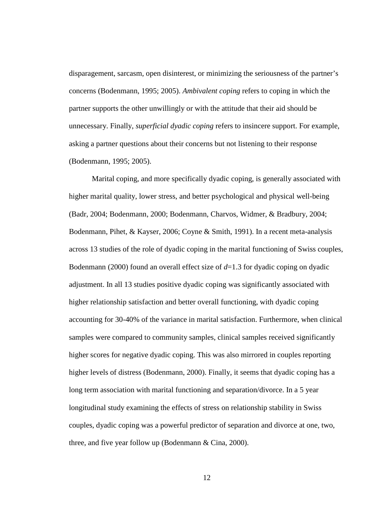disparagement, sarcasm, open disinterest, or minimizing the seriousness of the partner's concerns (Bodenmann, 1995; 2005). *Ambivalent coping* refers to coping in which the partner supports the other unwillingly or with the attitude that their aid should be unnecessary. Finally, *superficial dyadic coping* refers to insincere support. For example, asking a partner questions about their concerns but not listening to their response (Bodenmann, 1995; 2005).

Marital coping, and more specifically dyadic coping, is generally associated with higher marital quality, lower stress, and better psychological and physical well-being (Badr, 2004; Bodenmann, 2000; Bodenmann, Charvos, Widmer, & Bradbury, 2004; Bodenmann, Pihet, & Kayser, 2006; Coyne & Smith, 1991). In a recent meta-analysis across 13 studies of the role of dyadic coping in the marital functioning of Swiss couples, Bodenmann (2000) found an overall effect size of *d*=1.3 for dyadic coping on dyadic adjustment. In all 13 studies positive dyadic coping was significantly associated with higher relationship satisfaction and better overall functioning, with dyadic coping accounting for 30-40% of the variance in marital satisfaction. Furthermore, when clinical samples were compared to community samples, clinical samples received significantly higher scores for negative dyadic coping. This was also mirrored in couples reporting higher levels of distress (Bodenmann, 2000). Finally, it seems that dyadic coping has a long term association with marital functioning and separation/divorce. In a 5 year longitudinal study examining the effects of stress on relationship stability in Swiss couples, dyadic coping was a powerful predictor of separation and divorce at one, two, three, and five year follow up (Bodenmann & Cina, 2000).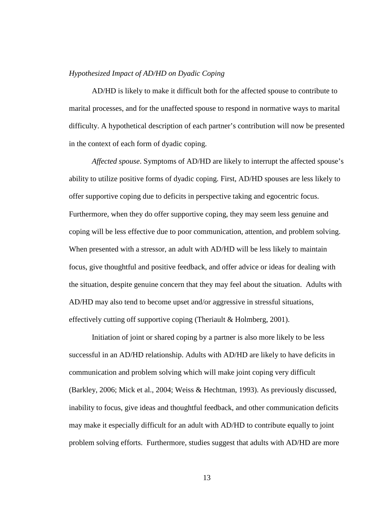#### *Hypothesized Impact of AD/HD on Dyadic Coping*

AD/HD is likely to make it difficult both for the affected spouse to contribute to marital processes, and for the unaffected spouse to respond in normative ways to marital difficulty. A hypothetical description of each partner's contribution will now be presented in the context of each form of dyadic coping.

*Affected spouse*. Symptoms of AD/HD are likely to interrupt the affected spouse's ability to utilize positive forms of dyadic coping. First, AD/HD spouses are less likely to offer supportive coping due to deficits in perspective taking and egocentric focus. Furthermore, when they do offer supportive coping, they may seem less genuine and coping will be less effective due to poor communication, attention, and problem solving. When presented with a stressor, an adult with AD/HD will be less likely to maintain focus, give thoughtful and positive feedback, and offer advice or ideas for dealing with the situation, despite genuine concern that they may feel about the situation. Adults with AD/HD may also tend to become upset and/or aggressive in stressful situations, effectively cutting off supportive coping (Theriault & Holmberg, 2001).

Initiation of joint or shared coping by a partner is also more likely to be less successful in an AD/HD relationship. Adults with AD/HD are likely to have deficits in communication and problem solving which will make joint coping very difficult (Barkley, 2006; Mick et al., 2004; Weiss & Hechtman, 1993). As previously discussed, inability to focus, give ideas and thoughtful feedback, and other communication deficits may make it especially difficult for an adult with AD/HD to contribute equally to joint problem solving efforts. Furthermore, studies suggest that adults with AD/HD are more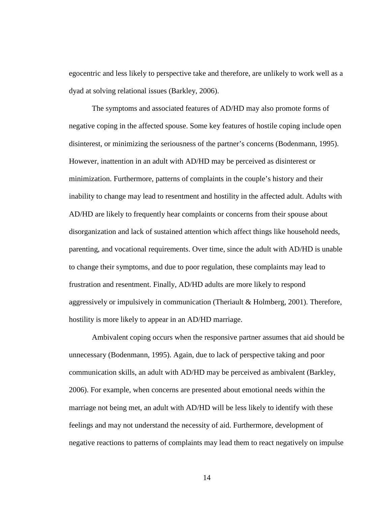egocentric and less likely to perspective take and therefore, are unlikely to work well as a dyad at solving relational issues (Barkley, 2006).

The symptoms and associated features of AD/HD may also promote forms of negative coping in the affected spouse. Some key features of hostile coping include open disinterest, or minimizing the seriousness of the partner's concerns (Bodenmann, 1995). However, inattention in an adult with AD/HD may be perceived as disinterest or minimization. Furthermore, patterns of complaints in the couple's history and their inability to change may lead to resentment and hostility in the affected adult. Adults with AD/HD are likely to frequently hear complaints or concerns from their spouse about disorganization and lack of sustained attention which affect things like household needs, parenting, and vocational requirements. Over time, since the adult with AD/HD is unable to change their symptoms, and due to poor regulation, these complaints may lead to frustration and resentment. Finally, AD/HD adults are more likely to respond aggressively or impulsively in communication (Theriault & Holmberg, 2001). Therefore, hostility is more likely to appear in an AD/HD marriage.

Ambivalent coping occurs when the responsive partner assumes that aid should be unnecessary (Bodenmann, 1995). Again, due to lack of perspective taking and poor communication skills, an adult with AD/HD may be perceived as ambivalent (Barkley, 2006). For example, when concerns are presented about emotional needs within the marriage not being met, an adult with AD/HD will be less likely to identify with these feelings and may not understand the necessity of aid. Furthermore, development of negative reactions to patterns of complaints may lead them to react negatively on impulse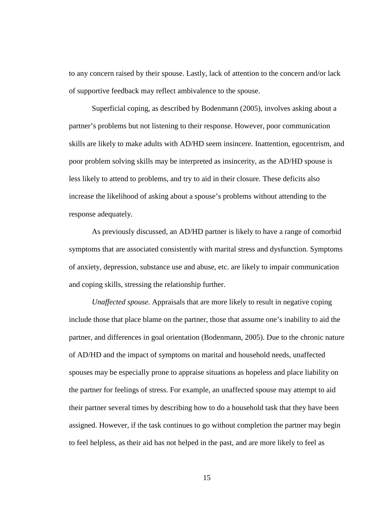to any concern raised by their spouse. Lastly, lack of attention to the concern and/or lack of supportive feedback may reflect ambivalence to the spouse.

Superficial coping, as described by Bodenmann (2005), involves asking about a partner's problems but not listening to their response. However, poor communication skills are likely to make adults with AD/HD seem insincere. Inattention, egocentrism, and poor problem solving skills may be interpreted as insincerity, as the AD/HD spouse is less likely to attend to problems, and try to aid in their closure. These deficits also increase the likelihood of asking about a spouse's problems without attending to the response adequately.

As previously discussed, an AD/HD partner is likely to have a range of comorbid symptoms that are associated consistently with marital stress and dysfunction. Symptoms of anxiety, depression, substance use and abuse, etc. are likely to impair communication and coping skills, stressing the relationship further.

*Unaffected spouse.* Appraisals that are more likely to result in negative coping include those that place blame on the partner, those that assume one's inability to aid the partner, and differences in goal orientation (Bodenmann, 2005). Due to the chronic nature of AD/HD and the impact of symptoms on marital and household needs, unaffected spouses may be especially prone to appraise situations as hopeless and place liability on the partner for feelings of stress. For example, an unaffected spouse may attempt to aid their partner several times by describing how to do a household task that they have been assigned. However, if the task continues to go without completion the partner may begin to feel helpless, as their aid has not helped in the past, and are more likely to feel as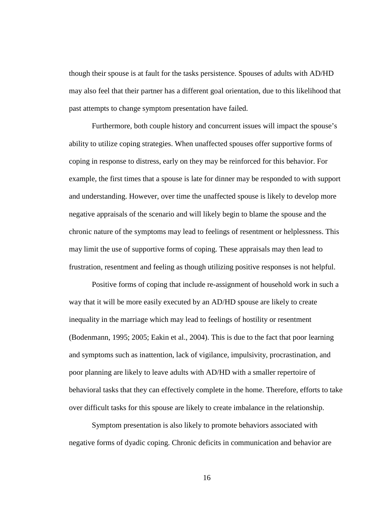though their spouse is at fault for the tasks persistence. Spouses of adults with AD/HD may also feel that their partner has a different goal orientation, due to this likelihood that past attempts to change symptom presentation have failed.

Furthermore, both couple history and concurrent issues will impact the spouse's ability to utilize coping strategies. When unaffected spouses offer supportive forms of coping in response to distress, early on they may be reinforced for this behavior. For example, the first times that a spouse is late for dinner may be responded to with support and understanding. However, over time the unaffected spouse is likely to develop more negative appraisals of the scenario and will likely begin to blame the spouse and the chronic nature of the symptoms may lead to feelings of resentment or helplessness. This may limit the use of supportive forms of coping. These appraisals may then lead to frustration, resentment and feeling as though utilizing positive responses is not helpful.

Positive forms of coping that include re-assignment of household work in such a way that it will be more easily executed by an AD/HD spouse are likely to create inequality in the marriage which may lead to feelings of hostility or resentment (Bodenmann, 1995; 2005; Eakin et al., 2004). This is due to the fact that poor learning and symptoms such as inattention, lack of vigilance, impulsivity, procrastination, and poor planning are likely to leave adults with AD/HD with a smaller repertoire of behavioral tasks that they can effectively complete in the home. Therefore, efforts to take over difficult tasks for this spouse are likely to create imbalance in the relationship.

Symptom presentation is also likely to promote behaviors associated with negative forms of dyadic coping. Chronic deficits in communication and behavior are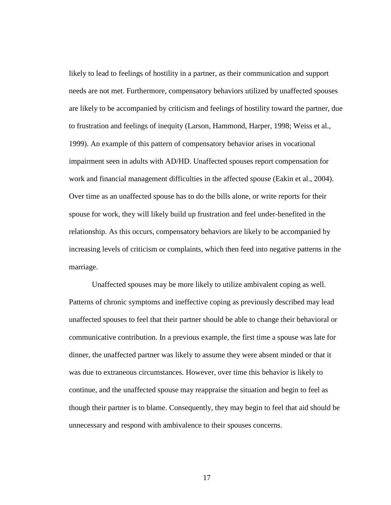likely to lead to feelings of hostility in a partner, as their communication and support needs are not met. Furthermore, compensatory behaviors utilized by unaffected spouses are likely to be accompanied by criticism and feelings of hostility toward the partner, due to frustration and feelings of inequity (Larson, Hammond, Harper, 1998; Weiss et al., 1999). An example of this pattern of compensatory behavior arises in vocational impairment seen in adults with AD/HD. Unaffected spouses report compensation for work and financial management difficulties in the affected spouse (Eakin et al., 2004). Over time as an unaffected spouse has to do the bills alone, or write reports for their spouse for work, they will likely build up frustration and feel under-benefited in the relationship. As this occurs, compensatory behaviors are likely to be accompanied by increasing levels of criticism or complaints, which then feed into negative patterns in the marriage.

Unaffected spouses may be more likely to utilize ambivalent coping as well. Patterns of chronic symptoms and ineffective coping as previously described may lead unaffected spouses to feel that their partner should be able to change their behavioral or communicative contribution. In a previous example, the first time a spouse was late for dinner, the unaffected partner was likely to assume they were absent minded or that it was due to extraneous circumstances. However, over time this behavior is likely to continue, and the unaffected spouse may reappraise the situation and begin to feel as though their partner is to blame. Consequently, they may begin to feel that aid should be unnecessary and respond with ambivalence to their spouses concerns.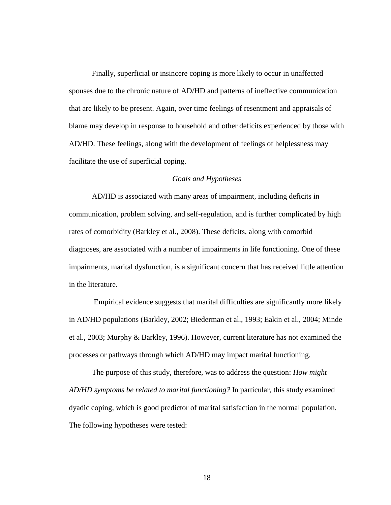Finally, superficial or insincere coping is more likely to occur in unaffected spouses due to the chronic nature of AD/HD and patterns of ineffective communication that are likely to be present. Again, over time feelings of resentment and appraisals of blame may develop in response to household and other deficits experienced by those with AD/HD. These feelings, along with the development of feelings of helplessness may facilitate the use of superficial coping.

#### *Goals and Hypotheses*

AD/HD is associated with many areas of impairment, including deficits in communication, problem solving, and self-regulation, and is further complicated by high rates of comorbidity (Barkley et al., 2008). These deficits, along with comorbid diagnoses, are associated with a number of impairments in life functioning. One of these impairments, marital dysfunction, is a significant concern that has received little attention in the literature.

 Empirical evidence suggests that marital difficulties are significantly more likely in AD/HD populations (Barkley, 2002; Biederman et al., 1993; Eakin et al., 2004; Minde et al., 2003; Murphy & Barkley, 1996). However, current literature has not examined the processes or pathways through which AD/HD may impact marital functioning.

The purpose of this study, therefore, was to address the question: *How might AD/HD symptoms be related to marital functioning?* In particular, this study examined dyadic coping, which is good predictor of marital satisfaction in the normal population. The following hypotheses were tested: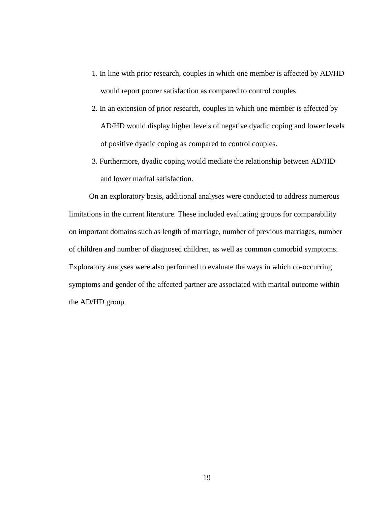- 1. In line with prior research, couples in which one member is affected by AD/HD would report poorer satisfaction as compared to control couples
- 2. In an extension of prior research, couples in which one member is affected by AD/HD would display higher levels of negative dyadic coping and lower levels of positive dyadic coping as compared to control couples.
- 3. Furthermore, dyadic coping would mediate the relationship between AD/HD and lower marital satisfaction.

 On an exploratory basis, additional analyses were conducted to address numerous limitations in the current literature. These included evaluating groups for comparability on important domains such as length of marriage, number of previous marriages, number of children and number of diagnosed children, as well as common comorbid symptoms. Exploratory analyses were also performed to evaluate the ways in which co-occurring symptoms and gender of the affected partner are associated with marital outcome within the AD/HD group.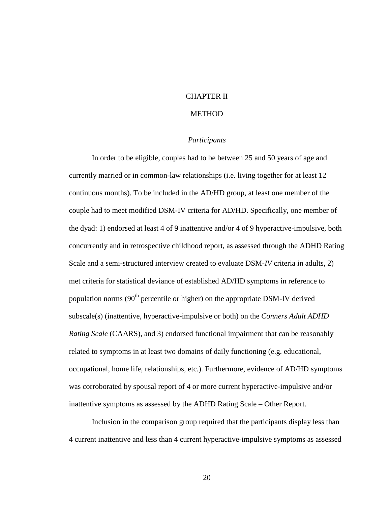#### CHAPTER II

## **METHOD**

#### *Participants*

In order to be eligible, couples had to be between 25 and 50 years of age and currently married or in common-law relationships (i.e. living together for at least 12 continuous months). To be included in the AD/HD group, at least one member of the couple had to meet modified DSM-IV criteria for AD/HD. Specifically, one member of the dyad: 1) endorsed at least 4 of 9 inattentive and/or 4 of 9 hyperactive-impulsive, both concurrently and in retrospective childhood report, as assessed through the ADHD Rating Scale and a semi-structured interview created to evaluate DSM-*IV* criteria in adults, 2) met criteria for statistical deviance of established AD/HD symptoms in reference to population norms  $(90<sup>th</sup>$  percentile or higher) on the appropriate DSM-IV derived subscale(s) (inattentive, hyperactive-impulsive or both) on the *Conners Adult ADHD Rating Scale* (CAARS), and 3) endorsed functional impairment that can be reasonably related to symptoms in at least two domains of daily functioning (e.g. educational, occupational, home life, relationships, etc.). Furthermore, evidence of AD/HD symptoms was corroborated by spousal report of 4 or more current hyperactive-impulsive and/or inattentive symptoms as assessed by the ADHD Rating Scale – Other Report.

Inclusion in the comparison group required that the participants display less than 4 current inattentive and less than 4 current hyperactive-impulsive symptoms as assessed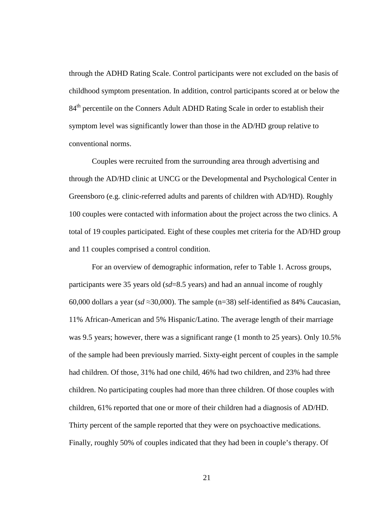through the ADHD Rating Scale. Control participants were not excluded on the basis of childhood symptom presentation. In addition, control participants scored at or below the 84<sup>th</sup> percentile on the Conners Adult ADHD Rating Scale in order to establish their symptom level was significantly lower than those in the AD/HD group relative to conventional norms.

Couples were recruited from the surrounding area through advertising and through the AD/HD clinic at UNCG or the Developmental and Psychological Center in Greensboro (e.g. clinic-referred adults and parents of children with AD/HD). Roughly 100 couples were contacted with information about the project across the two clinics. A total of 19 couples participated. Eight of these couples met criteria for the AD/HD group and 11 couples comprised a control condition.

For an overview of demographic information, refer to Table 1. Across groups, participants were 35 years old (*sd*=8.5 years) and had an annual income of roughly 60,000 dollars a year ( $sd \approx 30,000$ ). The sample (n=38) self-identified as 84% Caucasian, 11% African-American and 5% Hispanic/Latino. The average length of their marriage was 9.5 years; however, there was a significant range (1 month to 25 years). Only 10.5% of the sample had been previously married. Sixty-eight percent of couples in the sample had children. Of those, 31% had one child, 46% had two children, and 23% had three children. No participating couples had more than three children. Of those couples with children, 61% reported that one or more of their children had a diagnosis of AD/HD. Thirty percent of the sample reported that they were on psychoactive medications. Finally, roughly 50% of couples indicated that they had been in couple's therapy. Of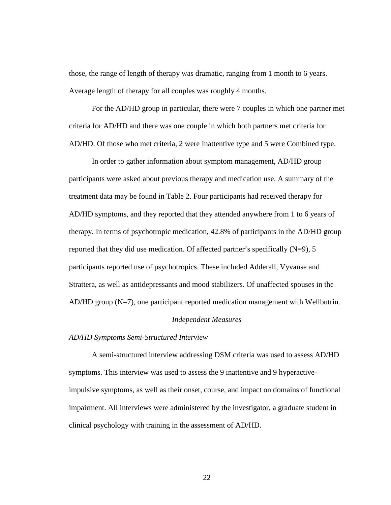those, the range of length of therapy was dramatic, ranging from 1 month to 6 years. Average length of therapy for all couples was roughly 4 months.

For the AD/HD group in particular, there were 7 couples in which one partner met criteria for AD/HD and there was one couple in which both partners met criteria for AD/HD. Of those who met criteria, 2 were Inattentive type and 5 were Combined type.

In order to gather information about symptom management, AD/HD group participants were asked about previous therapy and medication use. A summary of the treatment data may be found in Table 2. Four participants had received therapy for AD/HD symptoms, and they reported that they attended anywhere from 1 to 6 years of therapy. In terms of psychotropic medication, 42.8% of participants in the AD/HD group reported that they did use medication. Of affected partner's specifically  $(N=9)$ , 5 participants reported use of psychotropics. These included Adderall, Vyvanse and Strattera, as well as antidepressants and mood stabilizers. Of unaffected spouses in the AD/HD group (N=7), one participant reported medication management with Wellbutrin.

#### *Independent Measures*

#### *AD/HD Symptoms Semi-Structured Interview*

A semi-structured interview addressing DSM criteria was used to assess AD/HD symptoms. This interview was used to assess the 9 inattentive and 9 hyperactiveimpulsive symptoms, as well as their onset, course, and impact on domains of functional impairment. All interviews were administered by the investigator, a graduate student in clinical psychology with training in the assessment of AD/HD.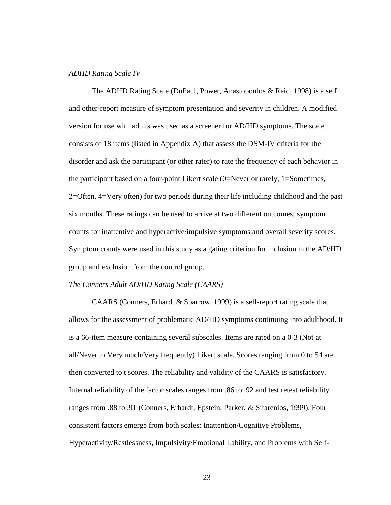#### *ADHD Rating Scale IV*

The ADHD Rating Scale (DuPaul, Power, Anastopoulos & Reid, 1998) is a self and other-report measure of symptom presentation and severity in children. A modified version for use with adults was used as a screener for AD/HD symptoms. The scale consists of 18 items (listed in Appendix A) that assess the DSM-IV criteria for the disorder and ask the participant (or other rater) to rate the frequency of each behavior in the participant based on a four-point Likert scale (0=Never or rarely, 1=Sometimes, 2=Often, 4=Very often) for two periods during their life including childhood and the past six months. These ratings can be used to arrive at two different outcomes; symptom counts for inattentive and hyperactive/impulsive symptoms and overall severity scores. Symptom counts were used in this study as a gating criterion for inclusion in the AD/HD group and exclusion from the control group.

#### *The Conners Adult AD/HD Rating Scale (CAARS)*

CAARS (Conners, Erhardt & Sparrow, 1999) is a self-report rating scale that allows for the assessment of problematic AD/HD symptoms continuing into adulthood. It is a 66-item measure containing several subscales. Items are rated on a 0-3 (Not at all/Never to Very much/Very frequently) Likert scale. Scores ranging from 0 to 54 are then converted to t scores. The reliability and validity of the CAARS is satisfactory. Internal reliability of the factor scales ranges from .86 to .92 and test retest reliability ranges from .88 to .91 (Conners, Erhardt, Epstein, Parker, & Sitarenios, 1999). Four consistent factors emerge from both scales: Inattention/Cognitive Problems, Hyperactivity/Restlessness, Impulsivity/Emotional Lability, and Problems with Self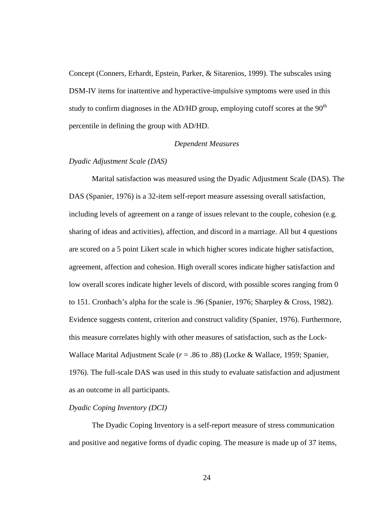Concept (Conners, Erhardt, Epstein, Parker, & Sitarenios, 1999). The subscales using DSM-IV items for inattentive and hyperactive-impulsive symptoms were used in this study to confirm diagnoses in the AD/HD group, employing cutoff scores at the  $90<sup>th</sup>$ percentile in defining the group with AD/HD.

#### *Dependent Measures*

#### *Dyadic Adjustment Scale (DAS)*

Marital satisfaction was measured using the Dyadic Adjustment Scale (DAS). The DAS (Spanier, 1976) is a 32-item self-report measure assessing overall satisfaction, including levels of agreement on a range of issues relevant to the couple, cohesion (e.g. sharing of ideas and activities), affection, and discord in a marriage. All but 4 questions are scored on a 5 point Likert scale in which higher scores indicate higher satisfaction, agreement, affection and cohesion. High overall scores indicate higher satisfaction and low overall scores indicate higher levels of discord, with possible scores ranging from 0 to 151. Cronbach's alpha for the scale is .96 (Spanier, 1976; Sharpley & Cross, 1982). Evidence suggests content, criterion and construct validity (Spanier, 1976). Furthermore, this measure correlates highly with other measures of satisfaction, such as the Lock-Wallace Marital Adjustment Scale (*r* = .86 to .88) (Locke & Wallace, 1959; Spanier, 1976). The full-scale DAS was used in this study to evaluate satisfaction and adjustment as an outcome in all participants.

#### *Dyadic Coping Inventory (DCI)*

The Dyadic Coping Inventory is a self-report measure of stress communication and positive and negative forms of dyadic coping. The measure is made up of 37 items,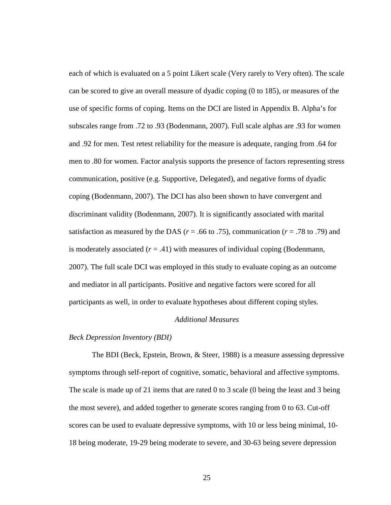each of which is evaluated on a 5 point Likert scale (Very rarely to Very often). The scale can be scored to give an overall measure of dyadic coping (0 to 185), or measures of the use of specific forms of coping. Items on the DCI are listed in Appendix B. Alpha's for subscales range from .72 to .93 (Bodenmann, 2007). Full scale alphas are .93 for women and .92 for men. Test retest reliability for the measure is adequate, ranging from .64 for men to .80 for women. Factor analysis supports the presence of factors representing stress communication, positive (e.g. Supportive, Delegated), and negative forms of dyadic coping (Bodenmann, 2007). The DCI has also been shown to have convergent and discriminant validity (Bodenmann, 2007). It is significantly associated with marital satisfaction as measured by the DAS ( $r = .66$  to .75), communication ( $r = .78$  to .79) and is moderately associated  $(r = .41)$  with measures of individual coping (Bodenmann, 2007). The full scale DCI was employed in this study to evaluate coping as an outcome and mediator in all participants. Positive and negative factors were scored for all participants as well, in order to evaluate hypotheses about different coping styles.

#### *Additional Measures*

#### *Beck Depression Inventory (BDI)*

The BDI (Beck, Epstein, Brown, & Steer, 1988) is a measure assessing depressive symptoms through self-report of cognitive, somatic, behavioral and affective symptoms. The scale is made up of 21 items that are rated 0 to 3 scale (0 being the least and 3 being the most severe), and added together to generate scores ranging from 0 to 63. Cut-off scores can be used to evaluate depressive symptoms, with 10 or less being minimal, 10- 18 being moderate, 19-29 being moderate to severe, and 30-63 being severe depression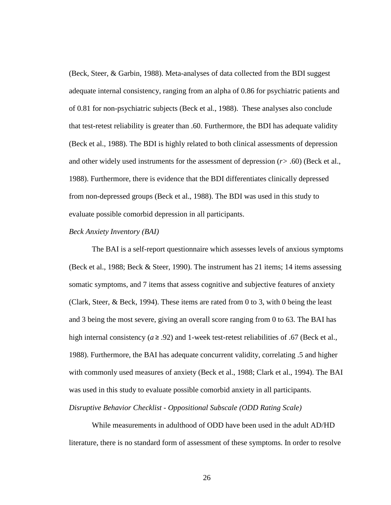(Beck, Steer, & Garbin, 1988). Meta-analyses of data collected from the BDI suggest adequate internal consistency, ranging from an alpha of 0.86 for psychiatric patients and of 0.81 for non-psychiatric subjects (Beck et al., 1988). These analyses also conclude that test-retest reliability is greater than .60. Furthermore, the BDI has adequate validity (Beck et al., 1988). The BDI is highly related to both clinical assessments of depression and other widely used instruments for the assessment of depression (*r>* .60) (Beck et al., 1988). Furthermore, there is evidence that the BDI differentiates clinically depressed from non-depressed groups (Beck et al., 1988). The BDI was used in this study to evaluate possible comorbid depression in all participants.

#### *Beck Anxiety Inventory (BAI)*

The BAI is a self-report questionnaire which assesses levels of anxious symptoms (Beck et al., 1988; Beck & Steer, 1990). The instrument has 21 items; 14 items assessing somatic symptoms, and 7 items that assess cognitive and subjective features of anxiety (Clark, Steer, & Beck, 1994). These items are rated from 0 to 3, with 0 being the least and 3 being the most severe, giving an overall score ranging from 0 to 63. The BAI has high internal consistency ( $a \ge 0.92$ ) and 1-week test-retest reliabilities of .67 (Beck et al., 1988). Furthermore, the BAI has adequate concurrent validity, correlating .5 and higher with commonly used measures of anxiety (Beck et al., 1988; Clark et al., 1994). The BAI was used in this study to evaluate possible comorbid anxiety in all participants. *Disruptive Behavior Checklist - Oppositional Subscale (ODD Rating Scale)* 

While measurements in adulthood of ODD have been used in the adult AD/HD literature, there is no standard form of assessment of these symptoms. In order to resolve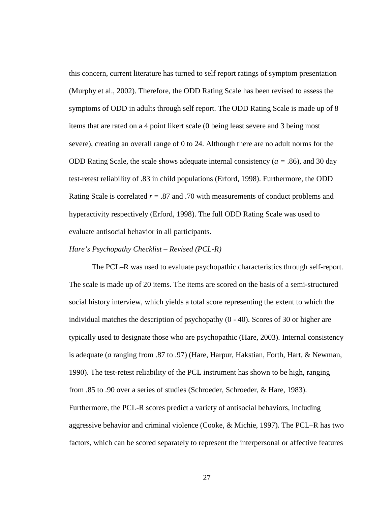this concern, current literature has turned to self report ratings of symptom presentation (Murphy et al., 2002). Therefore, the ODD Rating Scale has been revised to assess the symptoms of ODD in adults through self report. The ODD Rating Scale is made up of 8 items that are rated on a 4 point likert scale (0 being least severe and 3 being most severe), creating an overall range of 0 to 24. Although there are no adult norms for the ODD Rating Scale, the scale shows adequate internal consistency (*a =* .86), and 30 day test-retest reliability of .83 in child populations (Erford, 1998). Furthermore, the ODD Rating Scale is correlated *r* = .87 and .70 with measurements of conduct problems and hyperactivity respectively (Erford, 1998). The full ODD Rating Scale was used to evaluate antisocial behavior in all participants.

#### *Hare's Psychopathy Checklist – Revised (PCL-R)*

The PCL–R was used to evaluate psychopathic characteristics through self-report. The scale is made up of 20 items. The items are scored on the basis of a semi-structured social history interview, which yields a total score representing the extent to which the individual matches the description of psychopathy  $(0 - 40)$ . Scores of 30 or higher are typically used to designate those who are psychopathic (Hare, 2003). Internal consistency is adequate (*a* ranging from .87 to .97) (Hare, Harpur, Hakstian, Forth, Hart, & Newman, 1990). The test-retest reliability of the PCL instrument has shown to be high, ranging from .85 to .90 over a series of studies (Schroeder, Schroeder, & Hare, 1983). Furthermore, the PCL-R scores predict a variety of antisocial behaviors, including aggressive behavior and criminal violence (Cooke, & Michie, 1997). The PCL–R has two factors, which can be scored separately to represent the interpersonal or affective features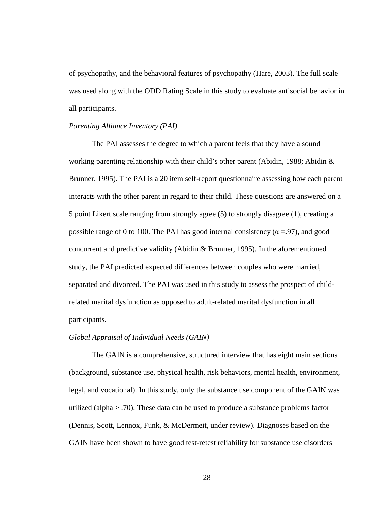of psychopathy, and the behavioral features of psychopathy (Hare, 2003). The full scale was used along with the ODD Rating Scale in this study to evaluate antisocial behavior in all participants.

#### *Parenting Alliance Inventory (PAI)*

The PAI assesses the degree to which a parent feels that they have a sound working parenting relationship with their child's other parent (Abidin, 1988; Abidin  $\&$ Brunner, 1995). The PAI is a 20 item self-report questionnaire assessing how each parent interacts with the other parent in regard to their child. These questions are answered on a 5 point Likert scale ranging from strongly agree (5) to strongly disagree (1), creating a possible range of 0 to 100. The PAI has good internal consistency ( $\alpha = .97$ ), and good concurrent and predictive validity (Abidin & Brunner, 1995). In the aforementioned study, the PAI predicted expected differences between couples who were married, separated and divorced. The PAI was used in this study to assess the prospect of childrelated marital dysfunction as opposed to adult-related marital dysfunction in all participants.

#### *Global Appraisal of Individual Needs (GAIN)*

The GAIN is a comprehensive, structured interview that has eight main sections (background, substance use, physical health, risk behaviors, mental health, environment, legal, and vocational). In this study, only the substance use component of the GAIN was utilized (alpha > .70). These data can be used to produce a substance problems factor (Dennis, Scott, Lennox, Funk, & McDermeit, under review). Diagnoses based on the GAIN have been shown to have good test-retest reliability for substance use disorders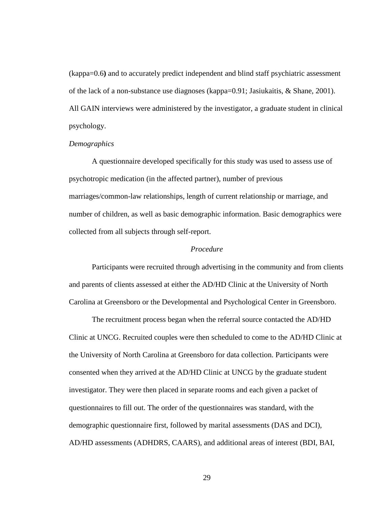(kappa=0.6**)** and to accurately predict independent and blind staff psychiatric assessment of the lack of a non-substance use diagnoses (kappa=0.91; Jasiukaitis, & Shane, 2001). All GAIN interviews were administered by the investigator, a graduate student in clinical psychology.

#### *Demographics*

A questionnaire developed specifically for this study was used to assess use of psychotropic medication (in the affected partner), number of previous marriages/common-law relationships, length of current relationship or marriage, and number of children, as well as basic demographic information. Basic demographics were collected from all subjects through self-report.

## *Procedure*

Participants were recruited through advertising in the community and from clients and parents of clients assessed at either the AD/HD Clinic at the University of North Carolina at Greensboro or the Developmental and Psychological Center in Greensboro.

The recruitment process began when the referral source contacted the AD/HD Clinic at UNCG. Recruited couples were then scheduled to come to the AD/HD Clinic at the University of North Carolina at Greensboro for data collection. Participants were consented when they arrived at the AD/HD Clinic at UNCG by the graduate student investigator. They were then placed in separate rooms and each given a packet of questionnaires to fill out. The order of the questionnaires was standard, with the demographic questionnaire first, followed by marital assessments (DAS and DCI), AD/HD assessments (ADHDRS, CAARS), and additional areas of interest (BDI, BAI,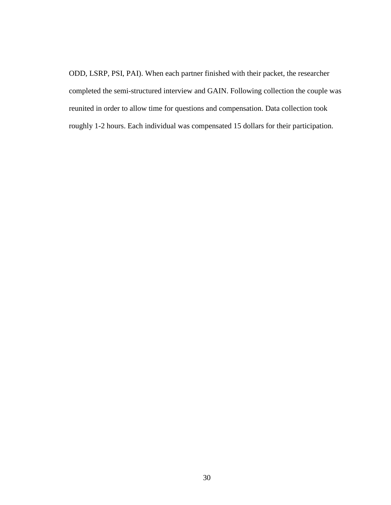ODD, LSRP, PSI, PAI). When each partner finished with their packet, the researcher completed the semi-structured interview and GAIN. Following collection the couple was reunited in order to allow time for questions and compensation. Data collection took roughly 1-2 hours. Each individual was compensated 15 dollars for their participation.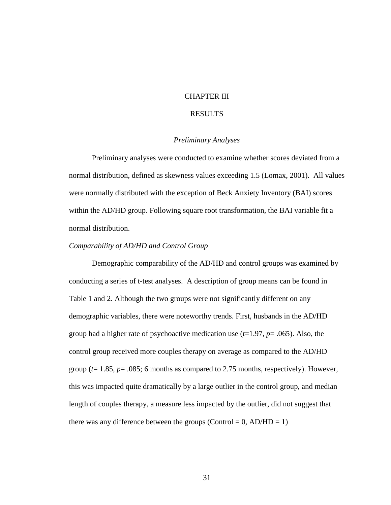### CHAPTER III

## RESULTS

#### *Preliminary Analyses*

Preliminary analyses were conducted to examine whether scores deviated from a normal distribution, defined as skewness values exceeding 1.5 (Lomax, 2001). All values were normally distributed with the exception of Beck Anxiety Inventory (BAI) scores within the AD/HD group. Following square root transformation, the BAI variable fit a normal distribution.

#### *Comparability of AD/HD and Control Group*

Demographic comparability of the AD/HD and control groups was examined by conducting a series of t-test analyses. A description of group means can be found in Table 1 and 2. Although the two groups were not significantly different on any demographic variables, there were noteworthy trends. First, husbands in the AD/HD group had a higher rate of psychoactive medication use (*t*=1.97, *p*= .065). Also, the control group received more couples therapy on average as compared to the AD/HD group (*t*= 1.85, *p*= .085; 6 months as compared to 2.75 months, respectively). However, this was impacted quite dramatically by a large outlier in the control group, and median length of couples therapy, a measure less impacted by the outlier, did not suggest that there was any difference between the groups (Control =  $0$ , AD/HD = 1)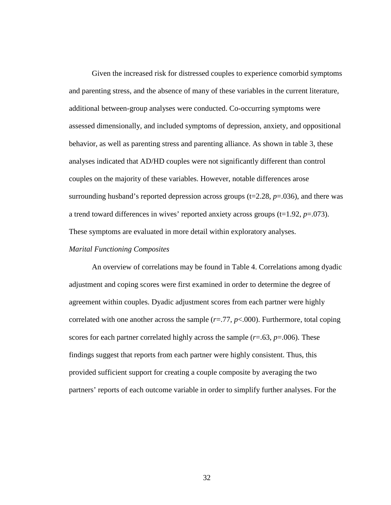Given the increased risk for distressed couples to experience comorbid symptoms and parenting stress, and the absence of many of these variables in the current literature, additional between-group analyses were conducted. Co-occurring symptoms were assessed dimensionally, and included symptoms of depression, anxiety, and oppositional behavior, as well as parenting stress and parenting alliance. As shown in table 3, these analyses indicated that AD/HD couples were not significantly different than control couples on the majority of these variables. However, notable differences arose surrounding husband's reported depression across groups (t=2.28, *p*=.036), and there was a trend toward differences in wives' reported anxiety across groups  $(t=1.92, p=.073)$ . These symptoms are evaluated in more detail within exploratory analyses.

#### *Marital Functioning Composites*

An overview of correlations may be found in Table 4. Correlations among dyadic adjustment and coping scores were first examined in order to determine the degree of agreement within couples. Dyadic adjustment scores from each partner were highly correlated with one another across the sample  $(r=.77, p<.000)$ . Furthermore, total coping scores for each partner correlated highly across the sample  $(r=.63, p=.006)$ . These findings suggest that reports from each partner were highly consistent. Thus, this provided sufficient support for creating a couple composite by averaging the two partners' reports of each outcome variable in order to simplify further analyses. For the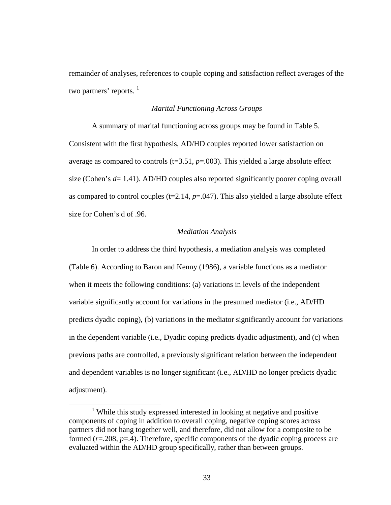remainder of analyses, references to couple coping and satisfaction reflect averages of the two partners' reports.  $\frac{1}{1}$ 

#### *Marital Functioning Across Groups*

A summary of marital functioning across groups may be found in Table 5. Consistent with the first hypothesis, AD/HD couples reported lower satisfaction on average as compared to controls  $(t=3.51, p=.003)$ . This yielded a large absolute effect size (Cohen's *d*= 1.41). AD/HD couples also reported significantly poorer coping overall as compared to control couples  $(t=2.14, p=.047)$ . This also yielded a large absolute effect size for Cohen's d of .96.

#### *Mediation Analysis*

In order to address the third hypothesis, a mediation analysis was completed (Table 6). According to Baron and Kenny (1986), a variable functions as a mediator when it meets the following conditions: (a) variations in levels of the independent variable significantly account for variations in the presumed mediator (i.e., AD/HD predicts dyadic coping), (b) variations in the mediator significantly account for variations in the dependent variable (i.e., Dyadic coping predicts dyadic adjustment), and (c) when previous paths are controlled, a previously significant relation between the independent and dependent variables is no longer significant (i.e., AD/HD no longer predicts dyadic adjustment).

 $\overline{a}$ 

<sup>&</sup>lt;sup>1</sup> While this study expressed interested in looking at negative and positive components of coping in addition to overall coping, negative coping scores across partners did not hang together well, and therefore, did not allow for a composite to be formed (*r*=.208, *p*=.4). Therefore, specific components of the dyadic coping process are evaluated within the AD/HD group specifically, rather than between groups.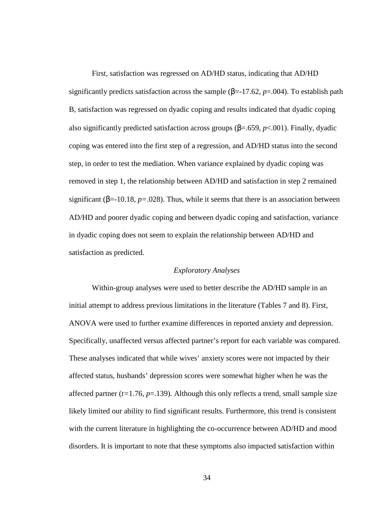First, satisfaction was regressed on AD/HD status, indicating that AD/HD significantly predicts satisfaction across the sample (β=-17.62, *p*=.004). To establish path B, satisfaction was regressed on dyadic coping and results indicated that dyadic coping also significantly predicted satisfaction across groups (β=.659, *p*<.001). Finally, dyadic coping was entered into the first step of a regression, and AD/HD status into the second step, in order to test the mediation. When variance explained by dyadic coping was removed in step 1, the relationship between AD/HD and satisfaction in step 2 remained significant ( $\beta$ =-10.18,  $p$ =.028). Thus, while it seems that there is an association between AD/HD and poorer dyadic coping and between dyadic coping and satisfaction, variance in dyadic coping does not seem to explain the relationship between AD/HD and satisfaction as predicted.

#### *Exploratory Analyses*

Within-group analyses were used to better describe the AD/HD sample in an initial attempt to address previous limitations in the literature (Tables 7 and 8). First, ANOVA were used to further examine differences in reported anxiety and depression. Specifically, unaffected versus affected partner's report for each variable was compared. These analyses indicated that while wives' anxiety scores were not impacted by their affected status, husbands' depression scores were somewhat higher when he was the affected partner  $(t=1.76, p=.139)$ . Although this only reflects a trend, small sample size likely limited our ability to find significant results. Furthermore, this trend is consistent with the current literature in highlighting the co-occurrence between AD/HD and mood disorders. It is important to note that these symptoms also impacted satisfaction within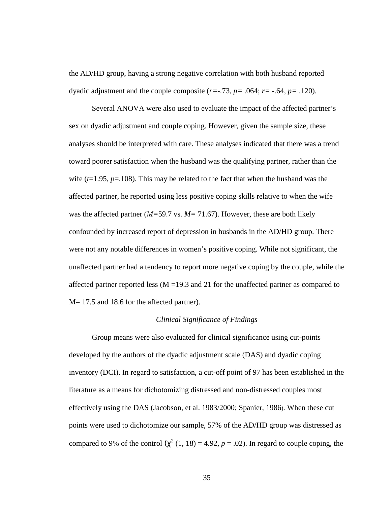the AD/HD group, having a strong negative correlation with both husband reported dyadic adjustment and the couple composite (*r=*-.73, *p=* .064; *r=* -.64, *p=* .120).

Several ANOVA were also used to evaluate the impact of the affected partner's sex on dyadic adjustment and couple coping. However, given the sample size, these analyses should be interpreted with care. These analyses indicated that there was a trend toward poorer satisfaction when the husband was the qualifying partner, rather than the wife  $(t=1.95, p=.108)$ . This may be related to the fact that when the husband was the affected partner, he reported using less positive coping skills relative to when the wife was the affected partner (*M=*59.7 vs. *M=* 71.67). However, these are both likely confounded by increased report of depression in husbands in the AD/HD group. There were not any notable differences in women's positive coping. While not significant, the unaffected partner had a tendency to report more negative coping by the couple, while the affected partner reported less  $(M = 19.3$  and 21 for the unaffected partner as compared to M= 17.5 and 18.6 for the affected partner).

#### *Clinical Significance of Findings*

Group means were also evaluated for clinical significance using cut-points developed by the authors of the dyadic adjustment scale (DAS) and dyadic coping inventory (DCI). In regard to satisfaction, a cut-off point of 97 has been established in the literature as a means for dichotomizing distressed and non-distressed couples most effectively using the DAS (Jacobson, et al. 1983/2000; Spanier, 1986). When these cut points were used to dichotomize our sample, 57% of the AD/HD group was distressed as compared to 9% of the control  $(\chi^2 (1, 18) = 4.92, p = .02)$ . In regard to couple coping, the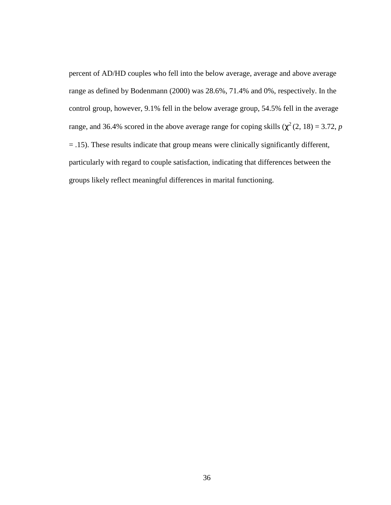percent of AD/HD couples who fell into the below average, average and above average range as defined by Bodenmann (2000) was 28.6%, 71.4% and 0%, respectively. In the control group, however, 9.1% fell in the below average group, 54.5% fell in the average range, and 36.4% scored in the above average range for coping skills  $(\chi^2(2, 18) = 3.72, p$ = .15). These results indicate that group means were clinically significantly different, particularly with regard to couple satisfaction, indicating that differences between the groups likely reflect meaningful differences in marital functioning.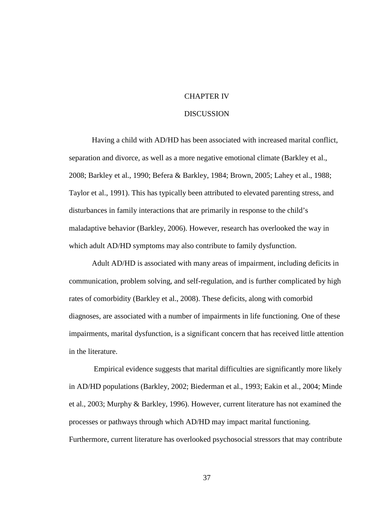## CHAPTER IV

#### **DISCUSSION**

Having a child with AD/HD has been associated with increased marital conflict, separation and divorce, as well as a more negative emotional climate (Barkley et al., 2008; Barkley et al., 1990; Befera & Barkley, 1984; Brown, 2005; Lahey et al., 1988; Taylor et al., 1991). This has typically been attributed to elevated parenting stress, and disturbances in family interactions that are primarily in response to the child's maladaptive behavior (Barkley, 2006). However, research has overlooked the way in which adult AD/HD symptoms may also contribute to family dysfunction.

Adult AD/HD is associated with many areas of impairment, including deficits in communication, problem solving, and self-regulation, and is further complicated by high rates of comorbidity (Barkley et al., 2008). These deficits, along with comorbid diagnoses, are associated with a number of impairments in life functioning. One of these impairments, marital dysfunction, is a significant concern that has received little attention in the literature.

 Empirical evidence suggests that marital difficulties are significantly more likely in AD/HD populations (Barkley, 2002; Biederman et al., 1993; Eakin et al., 2004; Minde et al., 2003; Murphy & Barkley, 1996). However, current literature has not examined the processes or pathways through which AD/HD may impact marital functioning. Furthermore, current literature has overlooked psychosocial stressors that may contribute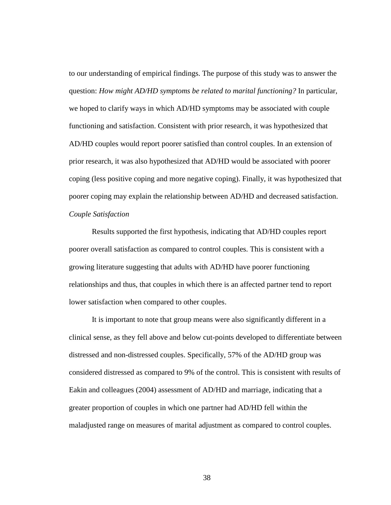to our understanding of empirical findings. The purpose of this study was to answer the question: *How might AD/HD symptoms be related to marital functioning?* In particular, we hoped to clarify ways in which AD/HD symptoms may be associated with couple functioning and satisfaction. Consistent with prior research, it was hypothesized that AD/HD couples would report poorer satisfied than control couples. In an extension of prior research, it was also hypothesized that AD/HD would be associated with poorer coping (less positive coping and more negative coping). Finally, it was hypothesized that poorer coping may explain the relationship between AD/HD and decreased satisfaction. *Couple Satisfaction* 

Results supported the first hypothesis, indicating that AD/HD couples report poorer overall satisfaction as compared to control couples. This is consistent with a growing literature suggesting that adults with AD/HD have poorer functioning relationships and thus, that couples in which there is an affected partner tend to report lower satisfaction when compared to other couples.

It is important to note that group means were also significantly different in a clinical sense, as they fell above and below cut-points developed to differentiate between distressed and non-distressed couples. Specifically, 57% of the AD/HD group was considered distressed as compared to 9% of the control. This is consistent with results of Eakin and colleagues (2004) assessment of AD/HD and marriage, indicating that a greater proportion of couples in which one partner had AD/HD fell within the maladjusted range on measures of marital adjustment as compared to control couples.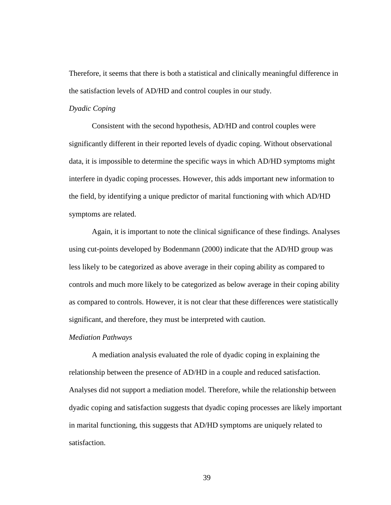Therefore, it seems that there is both a statistical and clinically meaningful difference in the satisfaction levels of AD/HD and control couples in our study.

#### *Dyadic Coping*

Consistent with the second hypothesis, AD/HD and control couples were significantly different in their reported levels of dyadic coping. Without observational data, it is impossible to determine the specific ways in which AD/HD symptoms might interfere in dyadic coping processes. However, this adds important new information to the field, by identifying a unique predictor of marital functioning with which AD/HD symptoms are related.

Again, it is important to note the clinical significance of these findings. Analyses using cut-points developed by Bodenmann (2000) indicate that the AD/HD group was less likely to be categorized as above average in their coping ability as compared to controls and much more likely to be categorized as below average in their coping ability as compared to controls. However, it is not clear that these differences were statistically significant, and therefore, they must be interpreted with caution.

#### *Mediation Pathways*

 A mediation analysis evaluated the role of dyadic coping in explaining the relationship between the presence of AD/HD in a couple and reduced satisfaction. Analyses did not support a mediation model. Therefore, while the relationship between dyadic coping and satisfaction suggests that dyadic coping processes are likely important in marital functioning, this suggests that AD/HD symptoms are uniquely related to satisfaction.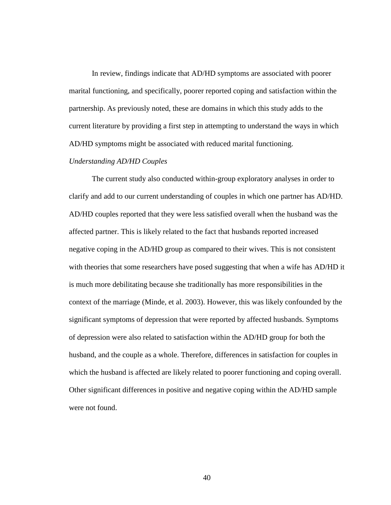In review, findings indicate that AD/HD symptoms are associated with poorer marital functioning, and specifically, poorer reported coping and satisfaction within the partnership. As previously noted, these are domains in which this study adds to the current literature by providing a first step in attempting to understand the ways in which AD/HD symptoms might be associated with reduced marital functioning.

#### *Understanding AD/HD Couples*

The current study also conducted within-group exploratory analyses in order to clarify and add to our current understanding of couples in which one partner has AD/HD. AD/HD couples reported that they were less satisfied overall when the husband was the affected partner. This is likely related to the fact that husbands reported increased negative coping in the AD/HD group as compared to their wives. This is not consistent with theories that some researchers have posed suggesting that when a wife has AD/HD it is much more debilitating because she traditionally has more responsibilities in the context of the marriage (Minde, et al. 2003). However, this was likely confounded by the significant symptoms of depression that were reported by affected husbands. Symptoms of depression were also related to satisfaction within the AD/HD group for both the husband, and the couple as a whole. Therefore, differences in satisfaction for couples in which the husband is affected are likely related to poorer functioning and coping overall. Other significant differences in positive and negative coping within the AD/HD sample were not found.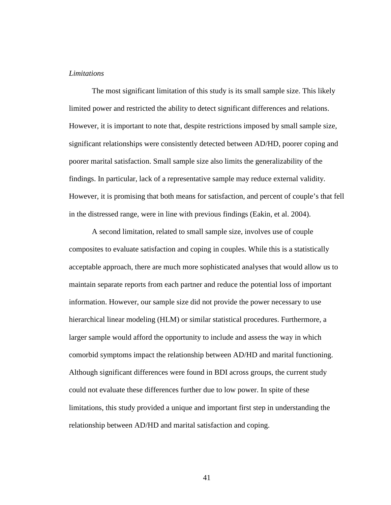#### *Limitations*

 The most significant limitation of this study is its small sample size. This likely limited power and restricted the ability to detect significant differences and relations. However, it is important to note that, despite restrictions imposed by small sample size, significant relationships were consistently detected between AD/HD, poorer coping and poorer marital satisfaction. Small sample size also limits the generalizability of the findings. In particular, lack of a representative sample may reduce external validity. However, it is promising that both means for satisfaction, and percent of couple's that fell in the distressed range, were in line with previous findings (Eakin, et al. 2004).

A second limitation, related to small sample size, involves use of couple composites to evaluate satisfaction and coping in couples. While this is a statistically acceptable approach, there are much more sophisticated analyses that would allow us to maintain separate reports from each partner and reduce the potential loss of important information. However, our sample size did not provide the power necessary to use hierarchical linear modeling (HLM) or similar statistical procedures. Furthermore, a larger sample would afford the opportunity to include and assess the way in which comorbid symptoms impact the relationship between AD/HD and marital functioning. Although significant differences were found in BDI across groups, the current study could not evaluate these differences further due to low power. In spite of these limitations, this study provided a unique and important first step in understanding the relationship between AD/HD and marital satisfaction and coping.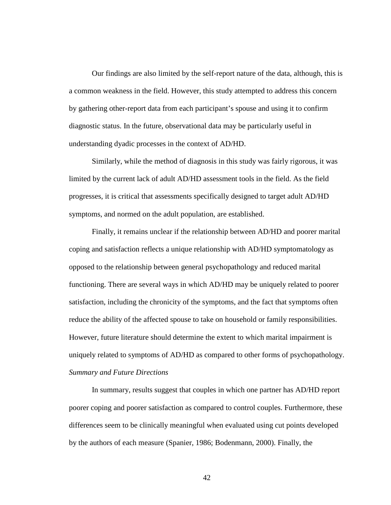Our findings are also limited by the self-report nature of the data, although, this is a common weakness in the field. However, this study attempted to address this concern by gathering other-report data from each participant's spouse and using it to confirm diagnostic status. In the future, observational data may be particularly useful in understanding dyadic processes in the context of AD/HD.

Similarly, while the method of diagnosis in this study was fairly rigorous, it was limited by the current lack of adult AD/HD assessment tools in the field. As the field progresses, it is critical that assessments specifically designed to target adult AD/HD symptoms, and normed on the adult population, are established.

Finally, it remains unclear if the relationship between AD/HD and poorer marital coping and satisfaction reflects a unique relationship with AD/HD symptomatology as opposed to the relationship between general psychopathology and reduced marital functioning. There are several ways in which AD/HD may be uniquely related to poorer satisfaction, including the chronicity of the symptoms, and the fact that symptoms often reduce the ability of the affected spouse to take on household or family responsibilities. However, future literature should determine the extent to which marital impairment is uniquely related to symptoms of AD/HD as compared to other forms of psychopathology. *Summary and Future Directions* 

 In summary, results suggest that couples in which one partner has AD/HD report poorer coping and poorer satisfaction as compared to control couples. Furthermore, these differences seem to be clinically meaningful when evaluated using cut points developed by the authors of each measure (Spanier, 1986; Bodenmann, 2000). Finally, the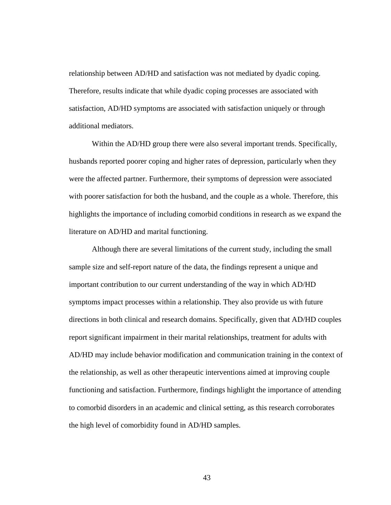relationship between AD/HD and satisfaction was not mediated by dyadic coping. Therefore, results indicate that while dyadic coping processes are associated with satisfaction, AD/HD symptoms are associated with satisfaction uniquely or through additional mediators.

 Within the AD/HD group there were also several important trends. Specifically, husbands reported poorer coping and higher rates of depression, particularly when they were the affected partner. Furthermore, their symptoms of depression were associated with poorer satisfaction for both the husband, and the couple as a whole. Therefore, this highlights the importance of including comorbid conditions in research as we expand the literature on AD/HD and marital functioning.

 Although there are several limitations of the current study, including the small sample size and self-report nature of the data, the findings represent a unique and important contribution to our current understanding of the way in which AD/HD symptoms impact processes within a relationship. They also provide us with future directions in both clinical and research domains. Specifically, given that AD/HD couples report significant impairment in their marital relationships, treatment for adults with AD/HD may include behavior modification and communication training in the context of the relationship, as well as other therapeutic interventions aimed at improving couple functioning and satisfaction. Furthermore, findings highlight the importance of attending to comorbid disorders in an academic and clinical setting, as this research corroborates the high level of comorbidity found in AD/HD samples.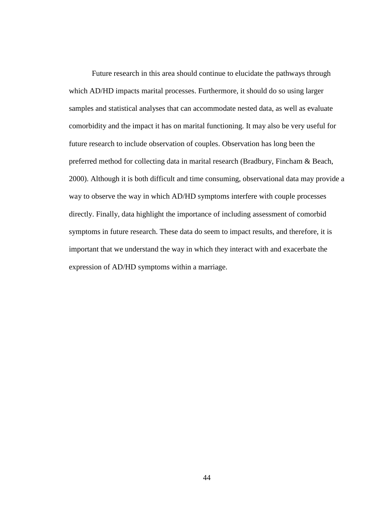Future research in this area should continue to elucidate the pathways through which AD/HD impacts marital processes. Furthermore, it should do so using larger samples and statistical analyses that can accommodate nested data, as well as evaluate comorbidity and the impact it has on marital functioning. It may also be very useful for future research to include observation of couples. Observation has long been the preferred method for collecting data in marital research (Bradbury, Fincham & Beach, 2000). Although it is both difficult and time consuming, observational data may provide a way to observe the way in which AD/HD symptoms interfere with couple processes directly. Finally, data highlight the importance of including assessment of comorbid symptoms in future research. These data do seem to impact results, and therefore, it is important that we understand the way in which they interact with and exacerbate the expression of AD/HD symptoms within a marriage.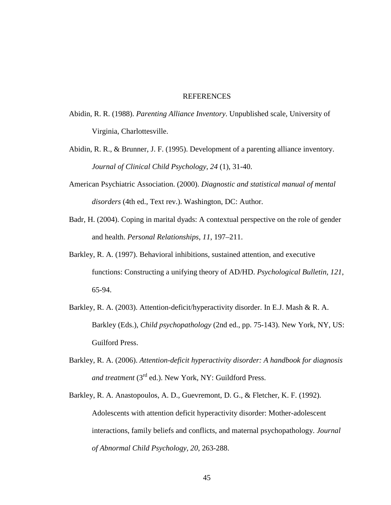#### REFERENCES

- Abidin, R. R. (1988). *Parenting Alliance Inventory*. Unpublished scale, University of Virginia, Charlottesville.
- Abidin, R. R., & Brunner, J. F. (1995). Development of a parenting alliance inventory. *Journal of Clinical Child Psychology, 24* (1), 31-40.
- American Psychiatric Association. (2000). *Diagnostic and statistical manual of mental disorders* (4th ed., Text rev.). Washington, DC: Author.
- Badr, H. (2004). Coping in marital dyads: A contextual perspective on the role of gender and health. *Personal Relationships*, *11*, 197–211.
- Barkley, R. A. (1997). Behavioral inhibitions, sustained attention, and executive functions: Constructing a unifying theory of AD/HD. *Psychological Bulletin, 121*, 65-94.
- Barkley, R. A. (2003). Attention-deficit/hyperactivity disorder. In E.J. Mash & R. A. Barkley (Eds.), *Child psychopathology* (2nd ed.*,* pp. 75-143). New York, NY, US: Guilford Press.
- Barkley, R. A. (2006). *Attention-deficit hyperactivity disorder: A handbook for diagnosis*  and treatment (3<sup>rd</sup> ed.). New York, NY: Guildford Press.
- Barkley, R. A. Anastopoulos, A. D., Guevremont, D. G., & Fletcher, K. F. (1992). Adolescents with attention deficit hyperactivity disorder: Mother-adolescent interactions, family beliefs and conflicts, and maternal psychopathology. *Journal of Abnormal Child Psychology, 20*, 263-288.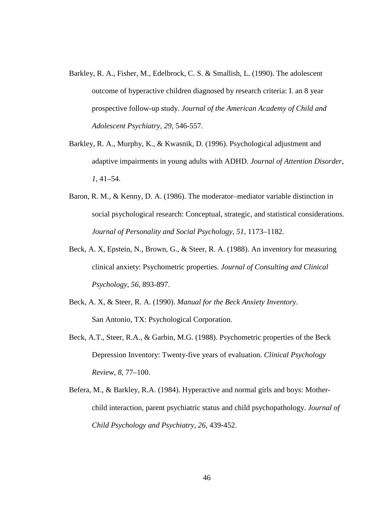- Barkley, R. A., Fisher, M., Edelbrock, C. S. & Smallish, L. (1990). The adolescent outcome of hyperactive children diagnosed by research criteria: I. an 8 year prospective follow-up study. *Journal of the American Academy of Child and Adolescent Psychiatry, 29,* 546-557.
- Barkley, R. A., Murphy, K., & Kwasnik, D. (1996). Psychological adjustment and adaptive impairments in young adults with ADHD. *Journal of Attention Disorder*, *1*, 41–54.
- Baron, R. M., & Kenny, D. A. (1986). The moderator–mediator variable distinction in social psychological research: Conceptual, strategic, and statistical considerations. *Journal of Personality and Social Psychology, 51*, 1173–1182.
- Beck, A. X, Epstein, N., Brown, G., & Steer, R. A. (1988). An inventory for measuring clinical anxiety: Psychometric properties. *Journal of Consulting and Clinical Psychology, 56*, 893-897.
- Beck, A. X, & Steer, R. A. (1990). *Manual for the Beck Anxiety Inventory*. San Antonio, TX: Psychological Corporation.
- Beck, A.T., Steer, R.A., & Garbin, M.G. (1988). Psychometric properties of the Beck Depression Inventory: Twenty-five years of evaluation. *Clinical Psychology Review, 8*, 77–100.
- Befera, M., & Barkley, R.A. (1984). Hyperactive and normal girls and boys: Motherchild interaction, parent psychiatric status and child psychopathology. *Journal of Child Psychology and Psychiatry, 26*, 439-452.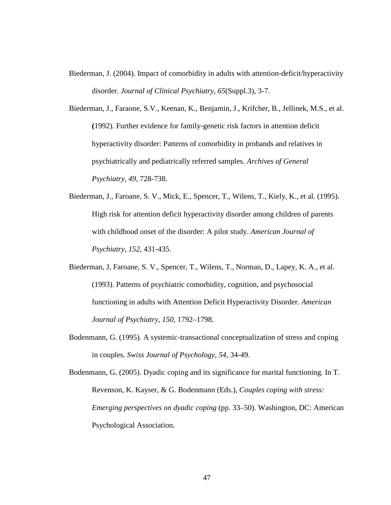Biederman, J. (2004). Impact of comorbidity in adults with attention-deficit/hyperactivity disorder. *Journal of Clinical Psychiatry, 65*(Suppl.3), 3-7.

Biederman, J., Faraone, S.V., Keenan, K., Benjamin, J., Krifcher, B., Jellinek, M.S., et al. **(**1992). Further evidence for family-genetic risk factors in attention deficit hyperactivity disorder: Patterns of comorbidity in probands and relatives in psychiatrically and pediatrically referred samples. *Archives of General Psychiatry, 49*, 728-738.

- Biederman, J., Faroane, S. V., Mick, E., Spencer, T., Wilens, T., Kiely, K., et al. (1995). High risk for attention deficit hyperactivity disorder among children of parents with childhood onset of the disorder: A pilot study. *American Journal of Psychiatry, 152*, 431-435.
- Biederman, J, Faroane, S. V., Spencer, T., Wilens, T., Norman, D., Lapey, K. A., et al. (1993). Patterns of psychiatric comorbidity, cognition, and psychosocial functioning in adults with Attention Deficit Hyperactivity Disorder. *American Journal of Psychiatry, 150*, 1792–1798.
- Bodenmann, G. (1995). A systemic-transactional conceptualization of stress and coping in couples. *Swiss Journal of Psychology, 54,* 34-49.

Bodenmann, G. (2005). Dyadic coping and its significance for marital functioning. In T. Revenson, K. Kayser, & G. Bodenmann (Eds.), *Couples coping with stress: Emerging perspectives on dyadic coping* (pp. 33–50). Washington, DC: American Psychological Association.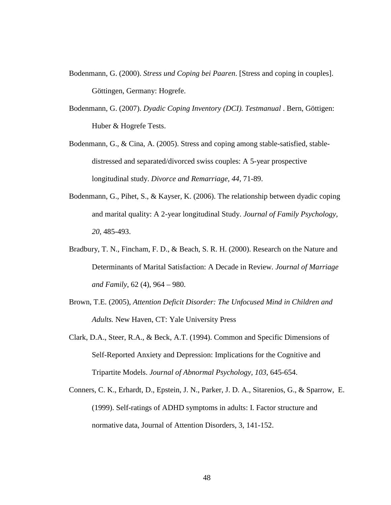- Bodenmann, G. (2000). *Stress und Coping bei Paaren*. [Stress and coping in couples]. Göttingen, Germany: Hogrefe.
- Bodenmann, G. (2007). *Dyadic Coping Inventory (DCI). Testmanual* . Bern, Göttigen: Huber & Hogrefe Tests.
- Bodenmann, G., & Cina, A. (2005). Stress and coping among stable-satisfied, stabledistressed and separated/divorced swiss couples: A 5-year prospective longitudinal study. *Divorce and Remarriage, 44,* 71-89.
- Bodenmann, G., Pihet, S., & Kayser, K. (2006). The relationship between dyadic coping and marital quality: A 2-year longitudinal Study. *Journal of Family Psychology, 20*, 485-493.
- Bradbury, T. N., Fincham, F. D., & Beach, S. R. H. (2000). Research on the Nature and Determinants of Marital Satisfaction: A Decade in Review*. Journal of Marriage and Family*, 62 (4), 964 – 980.
- Brown, T.E. (2005), *Attention Deficit Disorder: The Unfocused Mind in Children and Adults.* New Haven, CT: Yale University Press
- Clark, D.A., Steer, R.A., & Beck, A.T. (1994). Common and Specific Dimensions of Self-Reported Anxiety and Depression: Implications for the Cognitive and Tripartite Models. *Journal of Abnormal Psychology, 103*, 645-654.
- Conners, C. K., Erhardt, D., Epstein, J. N., Parker, J. D. A., Sitarenios, G., & Sparrow, E. (1999). Self-ratings of ADHD symptoms in adults: I. Factor structure and normative data, Journal of Attention Disorders, 3, 141-152.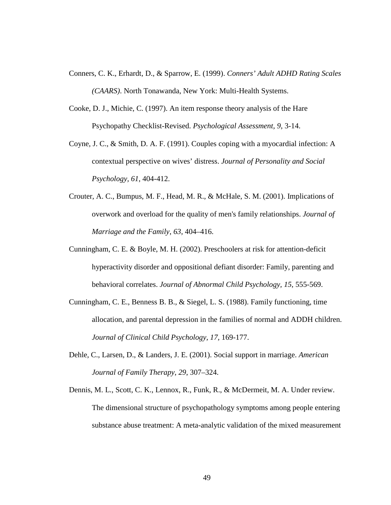- Conners, C. K., Erhardt, D., & Sparrow, E. (1999). *Conners' Adult ADHD Rating Scales (CAARS)*. North Tonawanda, New York: Multi-Health Systems.
- Cooke, D. J., Michie, C. (1997). An item response theory analysis of the Hare Psychopathy Checklist-Revised. *Psychological Assessment, 9*, 3-14.
- Coyne, J. C., & Smith, D. A. F. (1991). Couples coping with a myocardial infection: A contextual perspective on wives' distress. *Journal of Personality and Social Psychology, 61*, 404-412.
- Crouter, A. C., Bumpus, M. F., Head, M. R., & McHale, S. M. (2001). Implications of overwork and overload for the quality of men's family relationships. *Journal of Marriage and the Family*, *63*, 404–416.
- Cunningham, C. E. & Boyle, M. H. (2002). Preschoolers at risk for attention-deficit hyperactivity disorder and oppositional defiant disorder: Family, parenting and behavioral correlates. *Journal of Abnormal Child Psychology, 15*, 555-569.
- Cunningham, C. E., Benness B. B., & Siegel, L. S. (1988). Family functioning, time allocation, and parental depression in the families of normal and ADDH children. *Journal of Clinical Child Psychology, 17,* 169-177.
- Dehle, C., Larsen, D., & Landers, J. E. (2001). Social support in marriage. *American Journal of Family Therapy*, *29*, 307–324.
- Dennis, M. L., Scott, C. K., Lennox, R., Funk, R., & McDermeit, M. A. Under review. The dimensional structure of psychopathology symptoms among people entering substance abuse treatment: A meta-analytic validation of the mixed measurement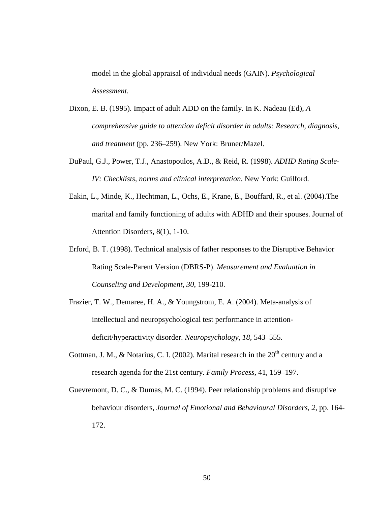model in the global appraisal of individual needs (GAIN). *Psychological Assessment*.

- Dixon, E. B. (1995). Impact of adult ADD on the family. In K. Nadeau (Ed), *A comprehensive guide to attention deficit disorder in adults: Research, diagnosis, and treatment* (pp. 236–259). New York: Bruner/Mazel.
- DuPaul, G.J., Power, T.J., Anastopoulos, A.D., & Reid, R. (1998). *ADHD Rating Scale-IV: Checklists, norms and clinical interpretation.* New York: Guilford.
- Eakin, L., Minde, K., Hechtman, L., Ochs, E., Krane, E., Bouffard, R., et al. (2004).The marital and family functioning of adults with ADHD and their spouses. Journal of Attention Disorders, 8(1), 1-10.
- Erford, B. T. (1998). Technical analysis of father responses to the Disruptive Behavior Rating Scale-Parent Version (DBRS-P). *Measurement and Evaluation in Counseling and Development, 30*, 199-210.
- Frazier, T. W., Demaree, H. A., & Youngstrom, E. A. (2004). Meta-analysis of intellectual and neuropsychological test performance in attentiondeficit/hyperactivity disorder. *Neuropsychology*, *18*, 543–555.
- Gottman, J. M., & Notarius, C. I. (2002). Marital research in the  $20<sup>th</sup>$  century and a research agenda for the 21st century. *Family Process,* 41, 159–197.
- Guevremont, D. C., & Dumas, M. C. (1994). Peer relationship problems and disruptive behaviour disorders, *Journal of Emotional and Behavioural Disorders, 2*, pp. 164- 172.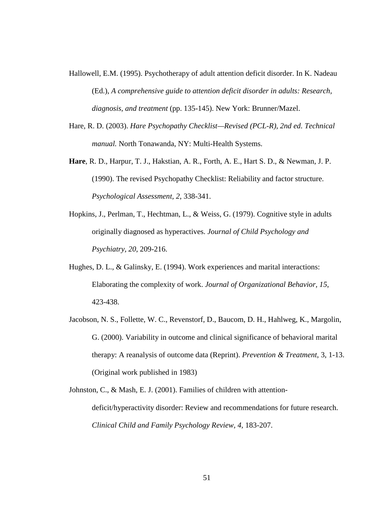- Hallowell, E.M. (1995). Psychotherapy of adult attention deficit disorder. In K. Nadeau (Ed.), *A comprehensive guide to attention deficit disorder in adults: Research, diagnosis, and treatment* (pp. 135-145). New York: Brunner/Mazel.
- Hare, R. D. (2003). *Hare Psychopathy Checklist—Revised (PCL-R), 2nd ed. Technical manual.* North Tonawanda, NY: Multi-Health Systems.
- **Hare**, R. D., Harpur, T. J., Hakstian, A. R., Forth, A. E., Hart S. D., & Newman, J. P. (1990). The revised Psychopathy Checklist: Reliability and factor structure. *Psychological Assessment, 2*, 338-341.
- Hopkins, J., Perlman, T., Hechtman, L., & Weiss, G. (1979). Cognitive style in adults originally diagnosed as hyperactives. *Journal of Child Psychology and Psychiatry, 20*, 209-216.
- Hughes, D. L., & Galinsky, E. (1994). Work experiences and marital interactions: Elaborating the complexity of work. *Journal of Organizational Behavior, 15*, 423-438.
- Jacobson, N. S., Follette, W. C., Revenstorf, D., Baucom, D. H., Hahlweg, K., Margolin, G. (2000). Variability in outcome and clinical significance of behavioral marital therapy: A reanalysis of outcome data (Reprint). *Prevention & Treatment*, 3, 1-13. (Original work published in 1983)

Johnston, C., & Mash, E. J. (2001). Families of children with attentiondeficit/hyperactivity disorder: Review and recommendations for future research. *Clinical Child and Family Psychology Review, 4,* 183-207.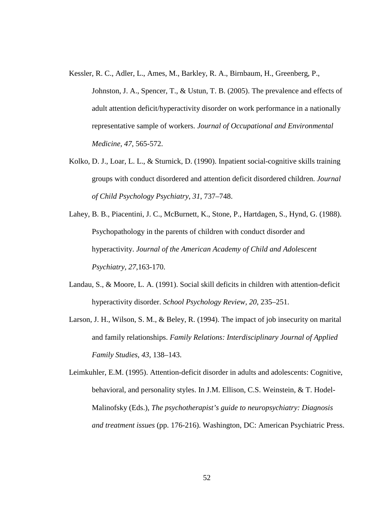Kessler, R. C., Adler, L., Ames, M., Barkley, R. A., Birnbaum, H., Greenberg, P.,

Johnston, J. A., Spencer, T., & Ustun, T. B. (2005). The prevalence and effects of adult attention deficit/hyperactivity disorder on work performance in a nationally representative sample of workers. *Journal of Occupational and Environmental Medicine, 47*, 565-572.

- Kolko, D. J., Loar, L. L., & Sturnick, D. (1990). Inpatient social-cognitive skills training groups with conduct disordered and attention deficit disordered children. *Journal of Child Psychology Psychiatry*, *31*, 737–748.
- Lahey, B. B., Piacentini, J. C., McBurnett, K., Stone, P., Hartdagen, S., Hynd, G. (1988). Psychopathology in the parents of children with conduct disorder and hyperactivity. *Journal of the American Academy of Child and Adolescent Psychiatry, 27,*163-170.
- Landau, S., & Moore, L. A. (1991). Social skill deficits in children with attention-deficit hyperactivity disorder. *School Psychology Review, 20*, 235–251.
- Larson, J. H., Wilson, S. M., & Beley, R. (1994). The impact of job insecurity on marital and family relationships. *Family Relations: Interdisciplinary Journal of Applied Family Studies*, *43*, 138–143.

Leimkuhler, E.M. (1995). Attention-deficit disorder in adults and adolescents: Cognitive, behavioral, and personality styles. In J.M. Ellison, C.S. Weinstein, & T. Hodel-Malinofsky (Eds.), *The psychotherapist's guide to neuropsychiatry: Diagnosis and treatment issues* (pp. 176-216). Washington, DC: American Psychiatric Press.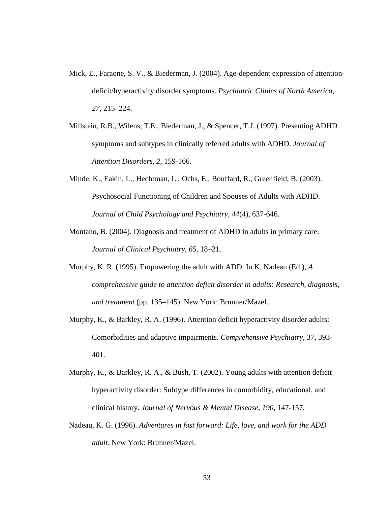- Mick, E., Faraone, S. V., & Biederman, J. (2004). Age-dependent expression of attentiondeficit/hyperactivity disorder symptoms. *Psychiatric Clinics of North America, 27,* 215–224.
- Millstein, R.B., Wilens, T.E., Biederman, J., & Spencer, T.J. (1997). Presenting ADHD symptoms and subtypes in clinically referred adults with ADHD. *Journal of Attention Disorders, 2*, 159-166.
- Minde, K., Eakin, L., Hechtman, L., Ochs, E., Bouffard, R., Greenfield, B. (2003). Psychosocial Functioning of Children and Spouses of Adults with ADHD. *Journal of Child Psychology and Psychiatry, 44*(4), 637-646.
- Montano, B. (2004). Diagnosis and treatment of ADHD in adults in primary care. *Journal of Clinical Psychiatry, 65,* 18–21.
- Murphy, K. R. (1995). Empowering the adult with ADD. In K. Nadeau (Ed.), *A comprehensive guide to attention deficit disorder in adults: Research, diagnosis, and treatment* (pp. 135–145). New York: Brunner/Mazel.
- Murphy, K., & Barkley, R. A. (1996). Attention deficit hyperactivity disorder adults: Comorbidities and adaptive impairments. *Comprehensive Psychiatry*, 37, 393- 401.
- Murphy, K., & Barkley, R. A., & Bush, T. (2002). Young adults with attention deficit hyperactivity disorder: Subtype differences in comorbidity, educational, and clinical history. *Journal of Nervous & Mental Disease, 190*, 147-157.
- Nadeau, K. G. (1996). *Adventures in fast forward: Life, love, and work for the ADD adult.* New York: Brunner/Mazel.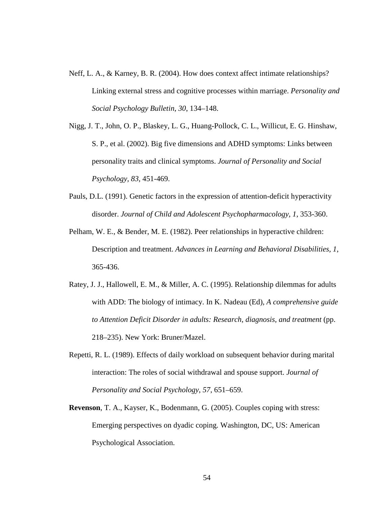- Neff, L. A., & Karney, B. R. (2004). How does context affect intimate relationships? Linking external stress and cognitive processes within marriage. *Personality and Social Psychology Bulletin*, *30*, 134–148.
- Nigg, J. T., John, O. P., Blaskey, L. G., Huang-Pollock, C. L., Willicut, E. G. Hinshaw, S. P., et al. (2002). Big five dimensions and ADHD symptoms: Links between personality traits and clinical symptoms. *Journal of Personality and Social Psychology, 83*, 451-469.
- Pauls, D.L. (1991). Genetic factors in the expression of attention-deficit hyperactivity disorder. *Journal of Child and Adolescent Psychopharmacology, 1*, 353-360.
- Pelham, W. E., & Bender, M. E. (1982). Peer relationships in hyperactive children: Description and treatment. *Advances in Learning and Behavioral Disabilities, 1*, 365-436.
- Ratey, J. J., Hallowell, E. M., & Miller, A. C. (1995). Relationship dilemmas for adults with ADD: The biology of intimacy. In K. Nadeau (Ed), *A comprehensive guide to Attention Deficit Disorder in adults: Research, diagnosis, and treatment* (pp. 218–235). New York: Bruner/Mazel.
- Repetti, R. L. (1989). Effects of daily workload on subsequent behavior during marital interaction: The roles of social withdrawal and spouse support. *Journal of Personality and Social Psychology*, *57*, 651–659.
- **Revenson**, T. A., Kayser, K., Bodenmann, G. (2005). Couples coping with stress: Emerging perspectives on dyadic coping. Washington, DC, US: American Psychological Association.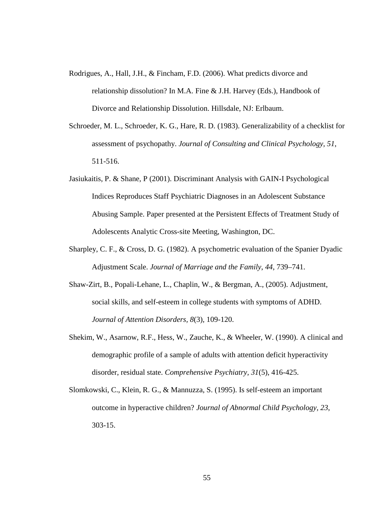- Rodrigues, A., Hall, J.H., & Fincham, F.D. (2006). What predicts divorce and relationship dissolution? In M.A. Fine & J.H. Harvey (Eds.), Handbook of Divorce and Relationship Dissolution. Hillsdale, NJ: Erlbaum.
- Schroeder, M. L., Schroeder, K. G., Hare, R. D. (1983). Generalizability of a checklist for assessment of psychopathy. *Journal of Consulting and Clinical Psychology, 51*, 511-516.
- Jasiukaitis, P. & Shane, P (2001). Discriminant Analysis with GAIN-I Psychological Indices Reproduces Staff Psychiatric Diagnoses in an Adolescent Substance Abusing Sample. Paper presented at the Persistent Effects of Treatment Study of Adolescents Analytic Cross-site Meeting, Washington, DC.
- Sharpley, C. F., & Cross, D. G. (1982). A psychometric evaluation of the Spanier Dyadic Adjustment Scale. *Journal of Marriage and the Family*, *44*, 739–741.
- Shaw-Zirt, B., Popali-Lehane, L., Chaplin, W., & Bergman, A., (2005). Adjustment, social skills, and self-esteem in college students with symptoms of ADHD. *Journal of Attention Disorders, 8*(3)*,* 109-120.
- Shekim, W., Asarnow, R.F., Hess, W., Zauche, K., & Wheeler, W. (1990). A clinical and demographic profile of a sample of adults with attention deficit hyperactivity disorder, residual state. *Comprehensive Psychiatry, 31*(5), 416-425.
- Slomkowski, C., Klein, R. G., & Mannuzza, S. (1995). Is self-esteem an important outcome in hyperactive children? *Journal of Abnormal Child Psychology, 23*, 303-15.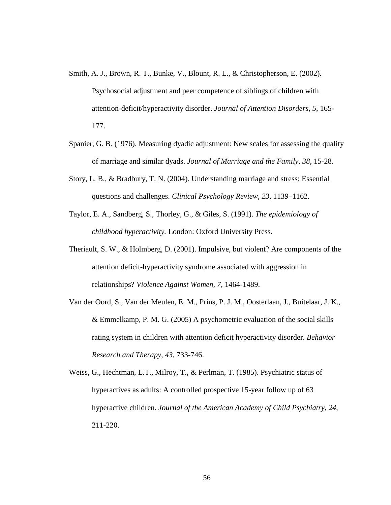- Smith, A. J., Brown, R. T., Bunke, V., Blount, R. L., & Christopherson, E. (2002). Psychosocial adjustment and peer competence of siblings of children with attention-deficit/hyperactivity disorder. *Journal of Attention Disorders, 5*, 165- 177.
- Spanier, G. B. (1976). Measuring dyadic adjustment: New scales for assessing the quality of marriage and similar dyads. *Journal of Marriage and the Family, 38*, 15-28.
- Story, L. B., & Bradbury, T. N. (2004). Understanding marriage and stress: Essential questions and challenges. *Clinical Psychology Review*, *23*, 1139–1162.
- Taylor, E. A., Sandberg, S., Thorley, G., & Giles, S. (1991). *The epidemiology of childhood hyperactivity.* London: Oxford University Press.
- Theriault, S. W., & Holmberg, D. (2001). Impulsive, but violent? Are components of the attention deficit-hyperactivity syndrome associated with aggression in relationships? *Violence Against Women, 7*, 1464-1489.
- Van der Oord, S., Van der Meulen, E. M., Prins, P. J. M., Oosterlaan, J., Buitelaar, J. K., & Emmelkamp, P. M. G. (2005) A psychometric evaluation of the social skills rating system in children with attention deficit hyperactivity disorder. *Behavior Research and Therapy, 43*, 733-746.
- Weiss, G., Hechtman, L.T., Milroy, T., & Perlman, T. (1985). Psychiatric status of hyperactives as adults: A controlled prospective 15-year follow up of 63 hyperactive children. *Journal of the American Academy of Child Psychiatry, 24*, 211-220.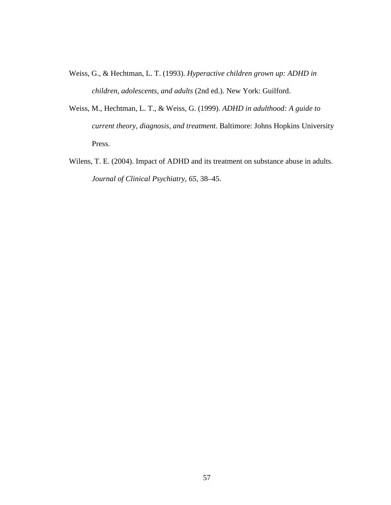- Weiss, G., & Hechtman, L. T. (1993). *Hyperactive children grown up: ADHD in children, adolescents, and adults* (2nd ed.). New York: Guilford.
- Weiss, M., Hechtman, L. T., & Weiss, G. (1999). *ADHD in adulthood: A guide to current theory, diagnosis, and treatment*. Baltimore: Johns Hopkins University Press.
- Wilens, T. E. (2004). Impact of ADHD and its treatment on substance abuse in adults. *Journal of Clinical Psychiatry, 65*, 38–45.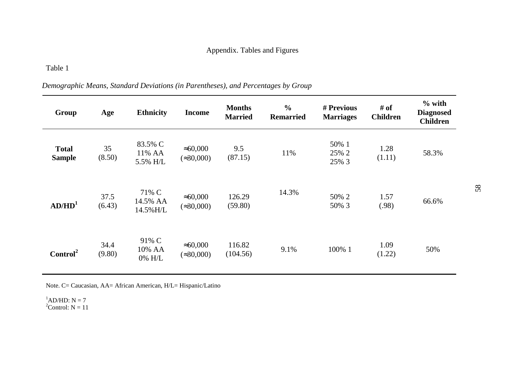## *Demographic Means, Standard Deviations (in Parentheses), and Percentages by Group*

| Group                         | Age            | <b>Ethnicity</b>              | <b>Income</b>                          | <b>Months</b><br><b>Married</b> | $\frac{6}{6}$<br><b>Remarried</b> | # Previous<br><b>Marriages</b> | # of<br><b>Children</b> | $%$ with<br><b>Diagnosed</b><br><b>Children</b> |
|-------------------------------|----------------|-------------------------------|----------------------------------------|---------------------------------|-----------------------------------|--------------------------------|-------------------------|-------------------------------------------------|
| <b>Total</b><br><b>Sample</b> | 35<br>(8.50)   | 83.5% C<br>11% AA<br>5.5% H/L | $\approx 60,000$<br>$(\approx 30,000)$ | 9.5<br>(87.15)                  | 11%                               | 50% 1<br>25% 2<br>25% 3        | 1.28<br>(1.11)          | 58.3%                                           |
| AD/HD <sup>1</sup>            | 37.5<br>(6.43) | 71% C<br>14.5% AA<br>14.5%H/L | $\approx 60,000$<br>$(\approx 30,000)$ | 126.29<br>(59.80)               | 14.3%                             | 50% 2<br>50% 3                 | 1.57<br>(.98)           | 66.6%                                           |
| Control <sup>2</sup>          | 34.4<br>(9.80) | 91% C<br>10% AA<br>0% H/L     | $\approx 60,000$<br>$(\approx 30,000)$ | 116.82<br>(104.56)              | 9.1%                              | 100% 1                         | 1.09<br>(1.22)          | 50%                                             |

Note. C= Caucasian, AA= African American, H/L= Hispanic/Latino

<sup>1</sup>AD/HD:  $N = 7$ <br><sup>2</sup>Control:  $N = 11$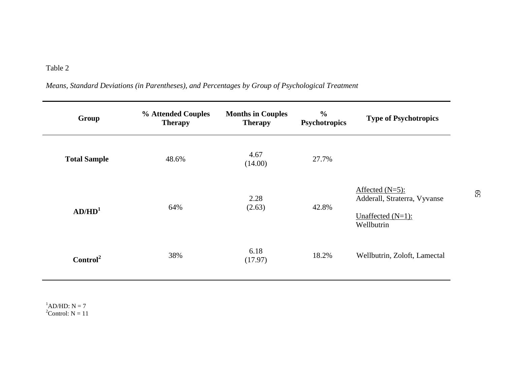**Group % Attended Couples Therapy Months in Couples Therapy % Psychotropics Type of Psychotropics Total Sample**  $48.6\%$   $4.67$   $(14.00)$   $27.7\%$ **AD/HD<sup>1</sup>** 64% 2.28  $(2.63)$ (2.63) 42.8% Affected (N=5): Adderall, Straterra, Vyvanse Unaffected (N=1): Wellbutrin **Control**<sup>2</sup> 38% 6.18 18.2% Wellbutrin, Zoloft, Lamectal 17.97)

*Means, Standard Deviations (in Parentheses), and Percentages by Group of Psychological Treatment*

 ${}^{1}\text{AD/HD}:$  N = 7  $2^2$ Control: N = 11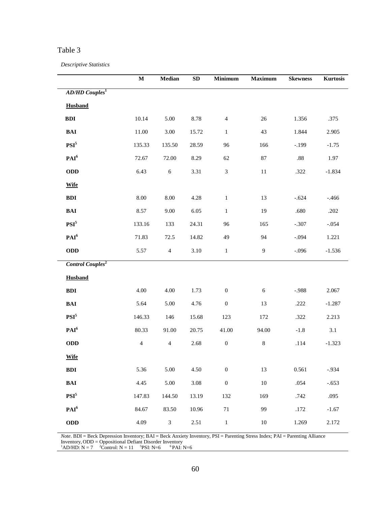*Descriptive Statistics*

|                                    | $\mathbf M$    | Median         | ${\bf SD}$ | Minimum                     | Maximum | <b>Skewness</b> | Kurtosis |
|------------------------------------|----------------|----------------|------------|-----------------------------|---------|-----------------|----------|
| <b>AD/HD</b> Couples <sup>1</sup>  |                |                |            |                             |         |                 |          |
| <b>Husband</b>                     |                |                |            |                             |         |                 |          |
| BDI                                | 10.14          | 5.00           | 8.78       | $\overline{4}$              | 26      | 1.356           | .375     |
| $\mathbf{BAI}$                     | $11.00\,$      | 3.00           | 15.72      | $\mathbf{1}$                | 43      | 1.844           | 2.905    |
| $\mathbf{PSI}^5$                   | 135.33         | 135.50         | 28.59      | 96                          | 166     | $-.199$         | $-1.75$  |
| PAI <sup>6</sup>                   | 72.67          | 72.00          | 8.29       | 62                          | 87      | $.88\,$         | 1.97     |
| ODD                                | 6.43           | $\sqrt{6}$     | 3.31       | $\ensuremath{\mathfrak{Z}}$ | $11\,$  | .322            | $-1.834$ |
| <b>Wife</b>                        |                |                |            |                             |         |                 |          |
| $\mathbf{BDI}$                     | $8.00\,$       | $8.00\,$       | 4.28       | $\,1$                       | 13      | $-.624$         | $-.466$  |
| $\mathbf{BAI}$                     | 8.57           | 9.00           | 6.05       | $\,1\,$                     | 19      | .680            | $.202\,$ |
| PSI <sup>5</sup>                   | 133.16         | 133            | 24.31      | 96                          | 165     | $-.307$         | $-.054$  |
| PAI <sup>6</sup>                   | 71.83          | 72.5           | 14.82      | 49                          | 94      | $-.094$         | 1.221    |
| <b>ODD</b>                         | 5.57           | $\overline{4}$ | 3.10       | $\mathbf{1}$                | 9       | $-.096$         | $-1.536$ |
| <b>Control Couples<sup>2</sup></b> |                |                |            |                             |         |                 |          |
| <b>Husband</b>                     |                |                |            |                             |         |                 |          |
| $\mathbf{BDI}$                     | 4.00           | 4.00           | 1.73       | $\boldsymbol{0}$            | 6       | $-.988$         | 2.067    |
| $\mathbf{BAI}$                     | 5.64           | 5.00           | 4.76       | $\boldsymbol{0}$            | 13      | .222            | $-1.287$ |
| PSI <sup>5</sup>                   | 146.33         | 146            | 15.68      | 123                         | 172     | .322            | 2.213    |
| PAI <sup>6</sup>                   | 80.33          | 91.00          | 20.75      | 41.00                       | 94.00   | $-1.8$          | $3.1\,$  |
| ODD                                | $\overline{4}$ | $\overline{4}$ | 2.68       | $\boldsymbol{0}$            | $8\,$   | $.114$          | $-1.323$ |
| <b>Wife</b>                        |                |                |            |                             |         |                 |          |
| BDI                                | 5.36           | 5.00           | 4.50       | $\boldsymbol{0}$            | 13      | 0.561           | $-.934$  |
| $BAI$                              | 4.45           | 5.00           | 3.08       | $\boldsymbol{0}$            | $10\,$  | .054            | $-.653$  |
| PSI <sup>5</sup>                   | 147.83         | 144.50         | 13.19      | 132                         | 169     | .742            | .095     |
| PAI <sup>6</sup>                   | 84.67          | 83.50          | 10.96      | $71\,$                      | 99      | .172            | $-1.67$  |
| ODD                                | 4.09           | $\mathfrak{Z}$ | 2.51       | $\,1\,$                     | $10\,$  | 1.269           | 2.172    |

*Note*. BDI = Beck Depression Inventory; BAI = Beck Anxiety Inventory, PSI = Parenting Stress Index; PAI = Parenting Alliance

Inventory, ODD = Oppositional Defiant Disorder Inventory<br><sup>1</sup>AD/HD: N = 7 <sup>2</sup>Control: N = 11 <sup>5</sup>PSI: N=6 <sup>6</sup>PAI: N=6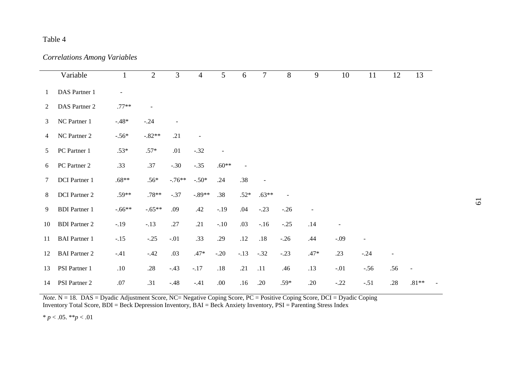*Correlations Among Variables*

|                | Variable             | 1              | $\overline{2}$ | $\overline{3}$ | $\overline{4}$ | 5       | 6       | $\overline{7}$           | 8      | 9              | 10                       | 11                       | 12             | 13             |
|----------------|----------------------|----------------|----------------|----------------|----------------|---------|---------|--------------------------|--------|----------------|--------------------------|--------------------------|----------------|----------------|
| 1              | DAS Partner 1        | $\blacksquare$ |                |                |                |         |         |                          |        |                |                          |                          |                |                |
| 2              | DAS Partner 2        | $.77**$        | $\blacksquare$ |                |                |         |         |                          |        |                |                          |                          |                |                |
| 3              | NC Partner 1         | $-.48*$        | $-.24$         |                |                |         |         |                          |        |                |                          |                          |                |                |
| $\overline{4}$ | NC Partner 2         | $-.56*$        | $-.82**$       | .21            |                |         |         |                          |        |                |                          |                          |                |                |
| 5              | PC Partner 1         | $.53*$         | $.57*$         | .01            | $-.32$         |         |         |                          |        |                |                          |                          |                |                |
| 6              | PC Partner 2         | .33            | .37            | $-.30$         | $-.35$         | $.60**$ |         |                          |        |                |                          |                          |                |                |
| 7              | DCI Partner 1        | $.68**$        | $.56*$         | $-.76**$       | $-.50*$        | .24     | .38     | $\overline{\phantom{a}}$ |        |                |                          |                          |                |                |
| 8              | DCI Partner 2        | $.59**$        | $.78**$        | $-.37$         | $-.89**$       | .38     | $.52*$  | $.63**$                  |        |                |                          |                          |                |                |
| 9              | <b>BDI</b> Partner 1 | $-.66**$       | $-.65**$       | .09            | .42            | $-.19$  | .04     | $-.23$                   | $-.26$ | $\blacksquare$ |                          |                          |                |                |
| 10             | <b>BDI</b> Partner 2 | $-.19$         | $-.13$         | .27            | .21            | $-.10$  | .03     | $-.16$                   | $-.25$ | .14            | $\overline{\phantom{m}}$ |                          |                |                |
| 11             | <b>BAI</b> Partner 1 | $-.15$         | $-.25$         | $-.01$         | .33            | .29     | $.12\,$ | .18                      | $-.26$ | .44            | $-.09$                   | $\overline{\phantom{a}}$ |                |                |
| 12             | <b>BAI</b> Partner 2 | $-.41$         | $-.42$         | .03            | $.47*$         | $-.20$  | $-.13$  | $-.32$                   | $-.23$ | $.47*$         | .23                      | $-.24$                   | $\blacksquare$ |                |
| 13             | PSI Partner 1        | .10            | .28            | $-.43$         | $-.17$         | $.18\,$ | .21     | .11                      | .46    | .13            | $-.01$                   | $-.56$                   | .56            | $\blacksquare$ |
| 14             | PSI Partner 2        | $.07$          | .31            | $-.48$         | $-.41$         | .00.    | .16     | .20                      | $.59*$ | .20            | $-.22$                   | $-.51$                   | .28            | $.81**$        |

*Note*. N = 18. DAS = Dyadic Adjustment Score, NC= Negative Coping Score, PC = Positive Coping Score, DCI = Dyadic Coping Inventory Total Score, BDI = Beck Depression Inventory, BAI = Beck Anxiety Inventory, PSI = Parenting Stress Index

\* *p* < .05. \*\**p* < .01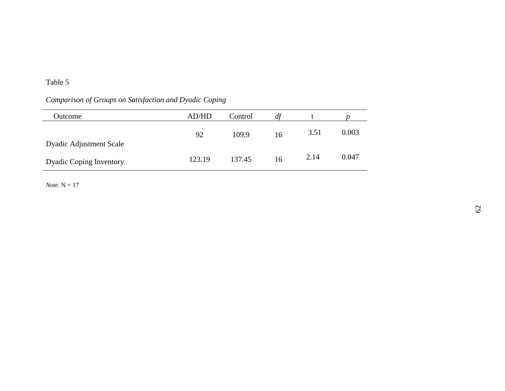# *Comparison of Groups on Satisfaction and Dyadic Coping*

| Outcome                        | AD/HD  | Control | df |      |       |
|--------------------------------|--------|---------|----|------|-------|
| <b>Dyadic Adjustment Scale</b> | 92     | 109.9   | 16 | 3.51 | 0.003 |
| <b>Dyadic Coping Inventory</b> | 123.19 | 137.45  | 16 | 2.14 | 0.047 |

*Note*. N = 17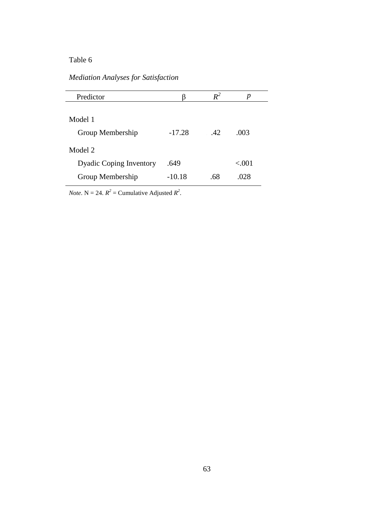## *Mediation Analyses for Satisfaction*

| Predictor                      |          | $R^2$ | р        |  |
|--------------------------------|----------|-------|----------|--|
|                                |          |       |          |  |
| Model 1                        |          |       |          |  |
| Group Membership               | $-17.28$ | .42   | .003     |  |
| Model 2                        |          |       |          |  |
| <b>Dyadic Coping Inventory</b> | .649     |       | ${<}001$ |  |
| Group Membership               | $-10.18$ | .68   | .028     |  |

*Note*.  $N = 24$ .  $R^2 =$  Cumulative Adjusted  $R^2$ .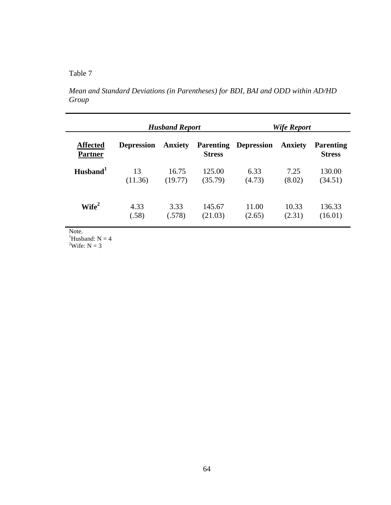*Mean and Standard Deviations (in Parentheses) for BDI, BAI and ODD within AD/HD Group* 

|                                   |                   | <b>Husband Report</b> |               | Wife Report                 |                |                                   |  |  |  |
|-----------------------------------|-------------------|-----------------------|---------------|-----------------------------|----------------|-----------------------------------|--|--|--|
| <b>Affected</b><br><b>Partner</b> | <b>Depression</b> | <b>Anxiety</b>        | <b>Stress</b> | <b>Parenting Depression</b> | <b>Anxiety</b> | <b>Parenting</b><br><b>Stress</b> |  |  |  |
| $H$ usband $1$                    | 13                | 16.75                 | 125.00        | 6.33                        | 7.25           | 130.00                            |  |  |  |
|                                   | (11.36)           | (19.77)               | (35.79)       | (4.73)                      | (8.02)         | (34.51)                           |  |  |  |
| Wife <sup>2</sup>                 | 4.33              | 3.33                  | 145.67        | 11.00                       | 10.33          | 136.33                            |  |  |  |
|                                   | (.58)             | (.578)                | (21.03)       | (2.65)                      | (2.31)         | (16.01)                           |  |  |  |

<sup>1</sup>Husband:  $N = 4$ 

<sup>2</sup>Wife:  $N = 3$